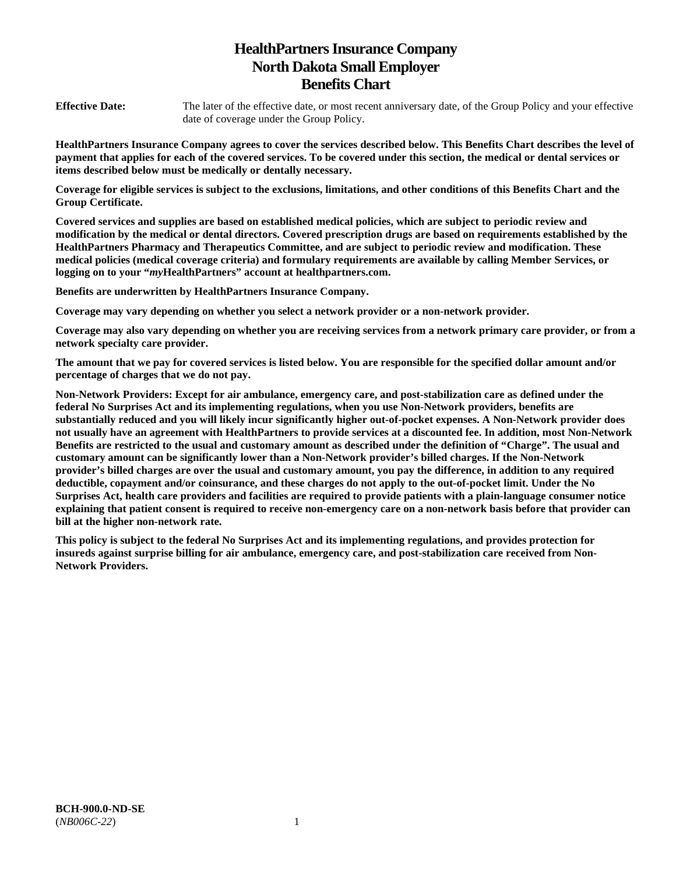# **HealthPartners Insurance Company North Dakota Small Employer Benefits Chart**

**Effective Date:** The later of the effective date, or most recent anniversary date, of the Group Policy and your effective date of coverage under the Group Policy.

**HealthPartners Insurance Company agrees to cover the services described below. This Benefits Chart describes the level of payment that applies for each of the covered services. To be covered under this section, the medical or dental services or items described below must be medically or dentally necessary.** 

**Coverage for eligible services is subject to the exclusions, limitations, and other conditions of this Benefits Chart and the Group Certificate.** 

**Covered services and supplies are based on established medical policies, which are subject to periodic review and modification by the medical or dental directors. Covered prescription drugs are based on requirements established by the HealthPartners Pharmacy and Therapeutics Committee, and are subject to periodic review and modification. These medical policies (medical coverage criteria) and formulary requirements are available by calling Member Services, or logging on to your "***my***HealthPartners" account at [healthpartners.com.](http://healthpartners.com/)** 

**Benefits are underwritten by HealthPartners Insurance Company.** 

**Coverage may vary depending on whether you select a network provider or a non-network provider.** 

**Coverage may also vary depending on whether you are receiving services from a network primary care provider, or from a network specialty care provider.**

**The amount that we pay for covered services is listed below. You are responsible for the specified dollar amount and/or percentage of charges that we do not pay.** 

**Non-Network Providers: Except for air ambulance, emergency care, and post-stabilization care as defined under the federal No Surprises Act and its implementing regulations, when you use Non-Network providers, benefits are substantially reduced and you will likely incur significantly higher out-of-pocket expenses. A Non-Network provider does not usually have an agreement with HealthPartners to provide services at a discounted fee. In addition, most Non-Network Benefits are restricted to the usual and customary amount as described under the definition of "Charge". The usual and customary amount can be significantly lower than a Non-Network provider's billed charges. If the Non-Network provider's billed charges are over the usual and customary amount, you pay the difference, in addition to any required deductible, copayment and/or coinsurance, and these charges do not apply to the out-of-pocket limit. Under the No Surprises Act, health care providers and facilities are required to provide patients with a plain-language consumer notice explaining that patient consent is required to receive non-emergency care on a non-network basis before that provider can bill at the higher non-network rate.** 

**This policy is subject to the federal No Surprises Act and its implementing regulations, and provides protection for insureds against surprise billing for air ambulance, emergency care, and post-stabilization care received from Non-Network Providers.**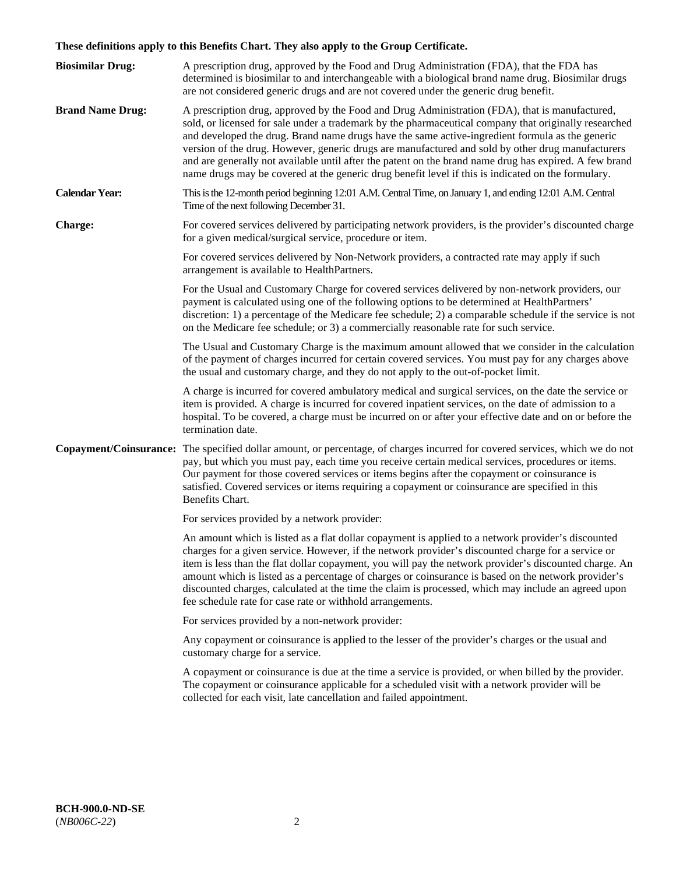# **These definitions apply to this Benefits Chart. They also apply to the Group Certificate.**

| <b>Biosimilar Drug:</b> | A prescription drug, approved by the Food and Drug Administration (FDA), that the FDA has<br>determined is biosimilar to and interchangeable with a biological brand name drug. Biosimilar drugs<br>are not considered generic drugs and are not covered under the generic drug benefit.                                                                                                                                                                                                                                                                                                                                        |
|-------------------------|---------------------------------------------------------------------------------------------------------------------------------------------------------------------------------------------------------------------------------------------------------------------------------------------------------------------------------------------------------------------------------------------------------------------------------------------------------------------------------------------------------------------------------------------------------------------------------------------------------------------------------|
| <b>Brand Name Drug:</b> | A prescription drug, approved by the Food and Drug Administration (FDA), that is manufactured,<br>sold, or licensed for sale under a trademark by the pharmaceutical company that originally researched<br>and developed the drug. Brand name drugs have the same active-ingredient formula as the generic<br>version of the drug. However, generic drugs are manufactured and sold by other drug manufacturers<br>and are generally not available until after the patent on the brand name drug has expired. A few brand<br>name drugs may be covered at the generic drug benefit level if this is indicated on the formulary. |
| <b>Calendar Year:</b>   | This is the 12-month period beginning 12:01 A.M. Central Time, on January 1, and ending 12:01 A.M. Central<br>Time of the next following December 31.                                                                                                                                                                                                                                                                                                                                                                                                                                                                           |
| <b>Charge:</b>          | For covered services delivered by participating network providers, is the provider's discounted charge<br>for a given medical/surgical service, procedure or item.                                                                                                                                                                                                                                                                                                                                                                                                                                                              |
|                         | For covered services delivered by Non-Network providers, a contracted rate may apply if such<br>arrangement is available to HealthPartners.                                                                                                                                                                                                                                                                                                                                                                                                                                                                                     |
|                         | For the Usual and Customary Charge for covered services delivered by non-network providers, our<br>payment is calculated using one of the following options to be determined at HealthPartners'<br>discretion: 1) a percentage of the Medicare fee schedule; 2) a comparable schedule if the service is not<br>on the Medicare fee schedule; or 3) a commercially reasonable rate for such service.                                                                                                                                                                                                                             |
|                         | The Usual and Customary Charge is the maximum amount allowed that we consider in the calculation<br>of the payment of charges incurred for certain covered services. You must pay for any charges above<br>the usual and customary charge, and they do not apply to the out-of-pocket limit.                                                                                                                                                                                                                                                                                                                                    |
|                         | A charge is incurred for covered ambulatory medical and surgical services, on the date the service or<br>item is provided. A charge is incurred for covered inpatient services, on the date of admission to a<br>hospital. To be covered, a charge must be incurred on or after your effective date and on or before the<br>termination date.                                                                                                                                                                                                                                                                                   |
|                         | Copayment/Coinsurance: The specified dollar amount, or percentage, of charges incurred for covered services, which we do not<br>pay, but which you must pay, each time you receive certain medical services, procedures or items.<br>Our payment for those covered services or items begins after the copayment or coinsurance is<br>satisfied. Covered services or items requiring a copayment or coinsurance are specified in this<br>Benefits Chart.                                                                                                                                                                         |
|                         | For services provided by a network provider:                                                                                                                                                                                                                                                                                                                                                                                                                                                                                                                                                                                    |
|                         | An amount which is listed as a flat dollar copayment is applied to a network provider's discounted<br>charges for a given service. However, if the network provider's discounted charge for a service or<br>item is less than the flat dollar copayment, you will pay the network provider's discounted charge. An<br>amount which is listed as a percentage of charges or coinsurance is based on the network provider's<br>discounted charges, calculated at the time the claim is processed, which may include an agreed upon<br>fee schedule rate for case rate or withhold arrangements.                                   |
|                         | For services provided by a non-network provider:                                                                                                                                                                                                                                                                                                                                                                                                                                                                                                                                                                                |
|                         | Any copayment or coinsurance is applied to the lesser of the provider's charges or the usual and<br>customary charge for a service.                                                                                                                                                                                                                                                                                                                                                                                                                                                                                             |
|                         | A copayment or coinsurance is due at the time a service is provided, or when billed by the provider.<br>The copayment or coinsurance applicable for a scheduled visit with a network provider will be<br>collected for each visit, late cancellation and failed appointment.                                                                                                                                                                                                                                                                                                                                                    |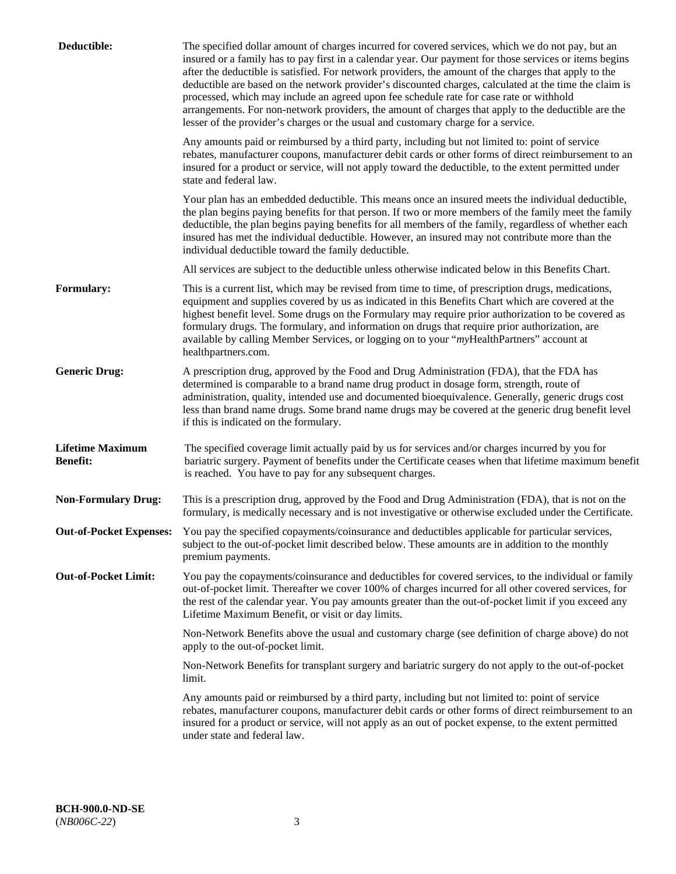| Deductible:                                | The specified dollar amount of charges incurred for covered services, which we do not pay, but an<br>insured or a family has to pay first in a calendar year. Our payment for those services or items begins<br>after the deductible is satisfied. For network providers, the amount of the charges that apply to the<br>deductible are based on the network provider's discounted charges, calculated at the time the claim is<br>processed, which may include an agreed upon fee schedule rate for case rate or withhold<br>arrangements. For non-network providers, the amount of charges that apply to the deductible are the<br>lesser of the provider's charges or the usual and customary charge for a service. |
|--------------------------------------------|------------------------------------------------------------------------------------------------------------------------------------------------------------------------------------------------------------------------------------------------------------------------------------------------------------------------------------------------------------------------------------------------------------------------------------------------------------------------------------------------------------------------------------------------------------------------------------------------------------------------------------------------------------------------------------------------------------------------|
|                                            | Any amounts paid or reimbursed by a third party, including but not limited to: point of service<br>rebates, manufacturer coupons, manufacturer debit cards or other forms of direct reimbursement to an<br>insured for a product or service, will not apply toward the deductible, to the extent permitted under<br>state and federal law.                                                                                                                                                                                                                                                                                                                                                                             |
|                                            | Your plan has an embedded deductible. This means once an insured meets the individual deductible,<br>the plan begins paying benefits for that person. If two or more members of the family meet the family<br>deductible, the plan begins paying benefits for all members of the family, regardless of whether each<br>insured has met the individual deductible. However, an insured may not contribute more than the<br>individual deductible toward the family deductible.                                                                                                                                                                                                                                          |
|                                            | All services are subject to the deductible unless otherwise indicated below in this Benefits Chart.                                                                                                                                                                                                                                                                                                                                                                                                                                                                                                                                                                                                                    |
| <b>Formulary:</b>                          | This is a current list, which may be revised from time to time, of prescription drugs, medications,<br>equipment and supplies covered by us as indicated in this Benefits Chart which are covered at the<br>highest benefit level. Some drugs on the Formulary may require prior authorization to be covered as<br>formulary drugs. The formulary, and information on drugs that require prior authorization, are<br>available by calling Member Services, or logging on to your "myHealthPartners" account at<br>healthpartners.com.                                                                                                                                                                                  |
| <b>Generic Drug:</b>                       | A prescription drug, approved by the Food and Drug Administration (FDA), that the FDA has<br>determined is comparable to a brand name drug product in dosage form, strength, route of<br>administration, quality, intended use and documented bioequivalence. Generally, generic drugs cost<br>less than brand name drugs. Some brand name drugs may be covered at the generic drug benefit level<br>if this is indicated on the formulary.                                                                                                                                                                                                                                                                            |
| <b>Lifetime Maximum</b><br><b>Benefit:</b> | The specified coverage limit actually paid by us for services and/or charges incurred by you for<br>bariatric surgery. Payment of benefits under the Certificate ceases when that lifetime maximum benefit<br>is reached. You have to pay for any subsequent charges.                                                                                                                                                                                                                                                                                                                                                                                                                                                  |
| <b>Non-Formulary Drug:</b>                 | This is a prescription drug, approved by the Food and Drug Administration (FDA), that is not on the<br>formulary, is medically necessary and is not investigative or otherwise excluded under the Certificate.                                                                                                                                                                                                                                                                                                                                                                                                                                                                                                         |
|                                            | Out-of-Pocket Expenses: You pay the specified copayments/coinsurance and deductibles applicable for particular services,<br>subject to the out-of-pocket limit described below. These amounts are in addition to the monthly<br>premium payments.                                                                                                                                                                                                                                                                                                                                                                                                                                                                      |
| <b>Out-of-Pocket Limit:</b>                | You pay the copayments/coinsurance and deductibles for covered services, to the individual or family<br>out-of-pocket limit. Thereafter we cover 100% of charges incurred for all other covered services, for<br>the rest of the calendar year. You pay amounts greater than the out-of-pocket limit if you exceed any<br>Lifetime Maximum Benefit, or visit or day limits.                                                                                                                                                                                                                                                                                                                                            |
|                                            | Non-Network Benefits above the usual and customary charge (see definition of charge above) do not<br>apply to the out-of-pocket limit.                                                                                                                                                                                                                                                                                                                                                                                                                                                                                                                                                                                 |
|                                            | Non-Network Benefits for transplant surgery and bariatric surgery do not apply to the out-of-pocket<br>limit.                                                                                                                                                                                                                                                                                                                                                                                                                                                                                                                                                                                                          |
|                                            | Any amounts paid or reimbursed by a third party, including but not limited to: point of service<br>rebates, manufacturer coupons, manufacturer debit cards or other forms of direct reimbursement to an<br>insured for a product or service, will not apply as an out of pocket expense, to the extent permitted<br>under state and federal law.                                                                                                                                                                                                                                                                                                                                                                       |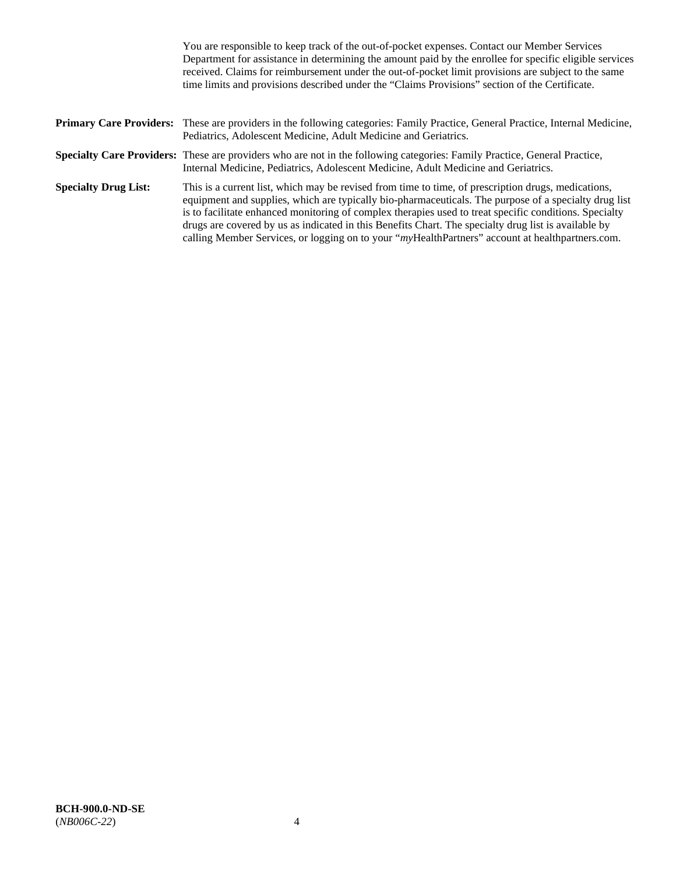|                             | You are responsible to keep track of the out-of-pocket expenses. Contact our Member Services<br>Department for assistance in determining the amount paid by the enrollee for specific eligible services<br>received. Claims for reimbursement under the out-of-pocket limit provisions are subject to the same<br>time limits and provisions described under the "Claims Provisions" section of the Certificate.                                                                                                                   |
|-----------------------------|------------------------------------------------------------------------------------------------------------------------------------------------------------------------------------------------------------------------------------------------------------------------------------------------------------------------------------------------------------------------------------------------------------------------------------------------------------------------------------------------------------------------------------|
|                             | <b>Primary Care Providers:</b> These are providers in the following categories: Family Practice, General Practice, Internal Medicine,<br>Pediatrics, Adolescent Medicine, Adult Medicine and Geriatrics.                                                                                                                                                                                                                                                                                                                           |
|                             | <b>Specialty Care Providers:</b> These are providers who are not in the following categories: Family Practice, General Practice,<br>Internal Medicine, Pediatrics, Adolescent Medicine, Adult Medicine and Geriatrics.                                                                                                                                                                                                                                                                                                             |
| <b>Specialty Drug List:</b> | This is a current list, which may be revised from time to time, of prescription drugs, medications,<br>equipment and supplies, which are typically bio-pharmaceuticals. The purpose of a specialty drug list<br>is to facilitate enhanced monitoring of complex therapies used to treat specific conditions. Specialty<br>drugs are covered by us as indicated in this Benefits Chart. The specialty drug list is available by<br>calling Member Services, or logging on to your "myHealthPartners" account at healthpartners.com. |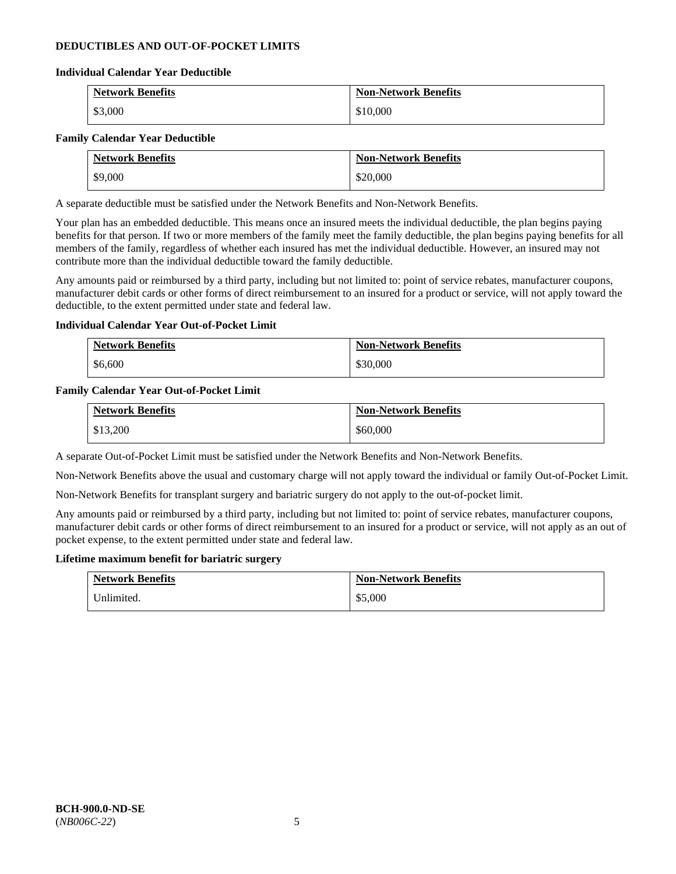### **DEDUCTIBLES AND OUT-OF-POCKET LIMITS**

### **Individual Calendar Year Deductible**

| <b>Network Benefits</b> | <b>Non-Network Benefits</b> |
|-------------------------|-----------------------------|
| \$3,000                 | \$10,000                    |

### **Family Calendar Year Deductible**

| <b>Network Benefits</b> | <b>Non-Network Benefits</b> |
|-------------------------|-----------------------------|
| \$9,000                 | \$20,000                    |

A separate deductible must be satisfied under the Network Benefits and Non-Network Benefits.

Your plan has an embedded deductible. This means once an insured meets the individual deductible, the plan begins paying benefits for that person. If two or more members of the family meet the family deductible, the plan begins paying benefits for all members of the family, regardless of whether each insured has met the individual deductible. However, an insured may not contribute more than the individual deductible toward the family deductible.

Any amounts paid or reimbursed by a third party, including but not limited to: point of service rebates, manufacturer coupons, manufacturer debit cards or other forms of direct reimbursement to an insured for a product or service, will not apply toward the deductible, to the extent permitted under state and federal law.

### **Individual Calendar Year Out-of-Pocket Limit**

| <b>Network Benefits</b> | <b>Non-Network Benefits</b> |
|-------------------------|-----------------------------|
| \$6,600                 | \$30,000                    |

### **Family Calendar Year Out-of-Pocket Limit**

| <b>Network Benefits</b> | <b>Non-Network Benefits</b> |
|-------------------------|-----------------------------|
| \$13,200                | \$60,000                    |

A separate Out-of-Pocket Limit must be satisfied under the Network Benefits and Non-Network Benefits.

Non-Network Benefits above the usual and customary charge will not apply toward the individual or family Out-of-Pocket Limit.

Non-Network Benefits for transplant surgery and bariatric surgery do not apply to the out-of-pocket limit.

Any amounts paid or reimbursed by a third party, including but not limited to: point of service rebates, manufacturer coupons, manufacturer debit cards or other forms of direct reimbursement to an insured for a product or service, will not apply as an out of pocket expense, to the extent permitted under state and federal law.

#### **Lifetime maximum benefit for bariatric surgery**

| <b>Network Benefits</b> | <b>Non-Network Benefits</b> |
|-------------------------|-----------------------------|
| Unlimited.              | \$5,000                     |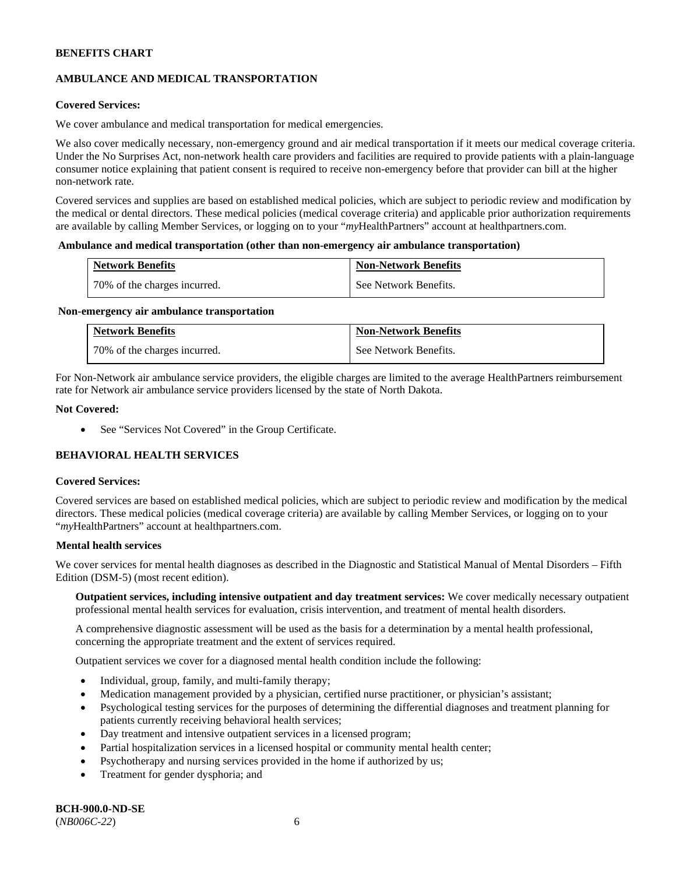# **AMBULANCE AND MEDICAL TRANSPORTATION**

### **Covered Services:**

We cover ambulance and medical transportation for medical emergencies.

We also cover medically necessary, non-emergency ground and air medical transportation if it meets our medical coverage criteria. Under the No Surprises Act, non-network health care providers and facilities are required to provide patients with a plain-language consumer notice explaining that patient consent is required to receive non-emergency before that provider can bill at the higher non-network rate.

Covered services and supplies are based on established medical policies, which are subject to periodic review and modification by the medical or dental directors. These medical policies (medical coverage criteria) and applicable prior authorization requirements are available by calling Member Services, or logging on to your "*my*HealthPartners" account a[t healthpartners.com.](http://www.healthpartners.com/)

#### **Ambulance and medical transportation (other than non-emergency air ambulance transportation)**

| <b>Network Benefits</b>      | <b>Non-Network Benefits</b> |
|------------------------------|-----------------------------|
| 70% of the charges incurred. | See Network Benefits.       |

#### **Non-emergency air ambulance transportation**

| <b>Network Benefits</b>      | <b>Non-Network Benefits</b> |
|------------------------------|-----------------------------|
| 70% of the charges incurred. | See Network Benefits.       |

For Non-Network air ambulance service providers, the eligible charges are limited to the average HealthPartners reimbursement rate for Network air ambulance service providers licensed by the state of North Dakota.

### **Not Covered:**

• See "Services Not Covered" in the Group Certificate.

# **BEHAVIORAL HEALTH SERVICES**

#### **Covered Services:**

Covered services are based on established medical policies, which are subject to periodic review and modification by the medical directors. These medical policies (medical coverage criteria) are available by calling Member Services, or logging on to your "*my*HealthPartners" account at [healthpartners.com.](http://healthpartners.com/)

### **Mental health services**

We cover services for mental health diagnoses as described in the Diagnostic and Statistical Manual of Mental Disorders - Fifth Edition (DSM-5) (most recent edition).

**Outpatient services, including intensive outpatient and day treatment services:** We cover medically necessary outpatient professional mental health services for evaluation, crisis intervention, and treatment of mental health disorders.

A comprehensive diagnostic assessment will be used as the basis for a determination by a mental health professional, concerning the appropriate treatment and the extent of services required.

Outpatient services we cover for a diagnosed mental health condition include the following:

- Individual, group, family, and multi-family therapy;
- Medication management provided by a physician, certified nurse practitioner, or physician's assistant;
- Psychological testing services for the purposes of determining the differential diagnoses and treatment planning for patients currently receiving behavioral health services;
- Day treatment and intensive outpatient services in a licensed program;
- Partial hospitalization services in a licensed hospital or community mental health center;
- Psychotherapy and nursing services provided in the home if authorized by us;
- Treatment for gender dysphoria; and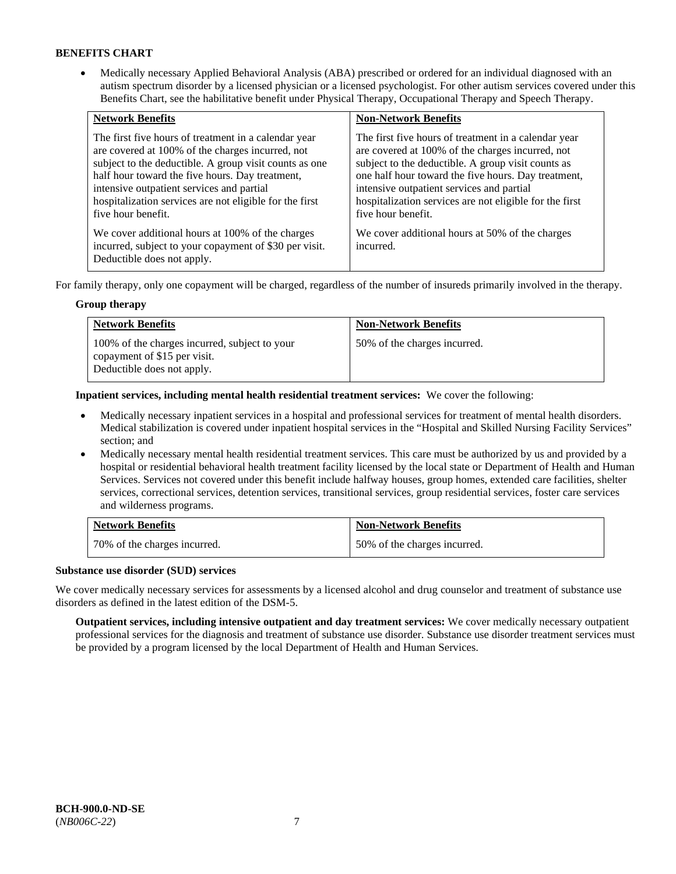• Medically necessary Applied Behavioral Analysis (ABA) prescribed or ordered for an individual diagnosed with an autism spectrum disorder by a licensed physician or a licensed psychologist. For other autism services covered under this Benefits Chart, see the habilitative benefit under Physical Therapy, Occupational Therapy and Speech Therapy.

| <b>Network Benefits</b>                                                                                                                                                                                                                                                                                                                             | <b>Non-Network Benefits</b>                                                                                                                                                                                                                                                                                                                         |
|-----------------------------------------------------------------------------------------------------------------------------------------------------------------------------------------------------------------------------------------------------------------------------------------------------------------------------------------------------|-----------------------------------------------------------------------------------------------------------------------------------------------------------------------------------------------------------------------------------------------------------------------------------------------------------------------------------------------------|
| The first five hours of treatment in a calendar year<br>are covered at 100% of the charges incurred, not<br>subject to the deductible. A group visit counts as one<br>half hour toward the five hours. Day treatment,<br>intensive outpatient services and partial<br>hospitalization services are not eligible for the first<br>five hour benefit. | The first five hours of treatment in a calendar year<br>are covered at 100% of the charges incurred, not<br>subject to the deductible. A group visit counts as<br>one half hour toward the five hours. Day treatment,<br>intensive outpatient services and partial<br>hospitalization services are not eligible for the first<br>five hour benefit. |
| We cover additional hours at 100% of the charges<br>incurred, subject to your copayment of \$30 per visit.<br>Deductible does not apply.                                                                                                                                                                                                            | We cover additional hours at 50% of the charges<br>incurred.                                                                                                                                                                                                                                                                                        |

For family therapy, only one copayment will be charged, regardless of the number of insureds primarily involved in the therapy.

### **Group therapy**

| <b>Network Benefits</b>                                                                                     | <b>Non-Network Benefits</b>  |
|-------------------------------------------------------------------------------------------------------------|------------------------------|
| 100% of the charges incurred, subject to your<br>copayment of \$15 per visit.<br>Deductible does not apply. | 50% of the charges incurred. |

**Inpatient services, including mental health residential treatment services:** We cover the following:

- Medically necessary inpatient services in a hospital and professional services for treatment of mental health disorders. Medical stabilization is covered under inpatient hospital services in the "Hospital and Skilled Nursing Facility Services" section; and
- Medically necessary mental health residential treatment services. This care must be authorized by us and provided by a hospital or residential behavioral health treatment facility licensed by the local state or Department of Health and Human Services. Services not covered under this benefit include halfway houses, group homes, extended care facilities, shelter services, correctional services, detention services, transitional services, group residential services, foster care services and wilderness programs.

| <b>Network Benefits</b>      | <b>Non-Network Benefits</b>  |
|------------------------------|------------------------------|
| 70% of the charges incurred. | 50% of the charges incurred. |

### **Substance use disorder (SUD) services**

We cover medically necessary services for assessments by a licensed alcohol and drug counselor and treatment of substance use disorders as defined in the latest edition of the DSM-5.

**Outpatient services, including intensive outpatient and day treatment services:** We cover medically necessary outpatient professional services for the diagnosis and treatment of substance use disorder. Substance use disorder treatment services must be provided by a program licensed by the local Department of Health and Human Services.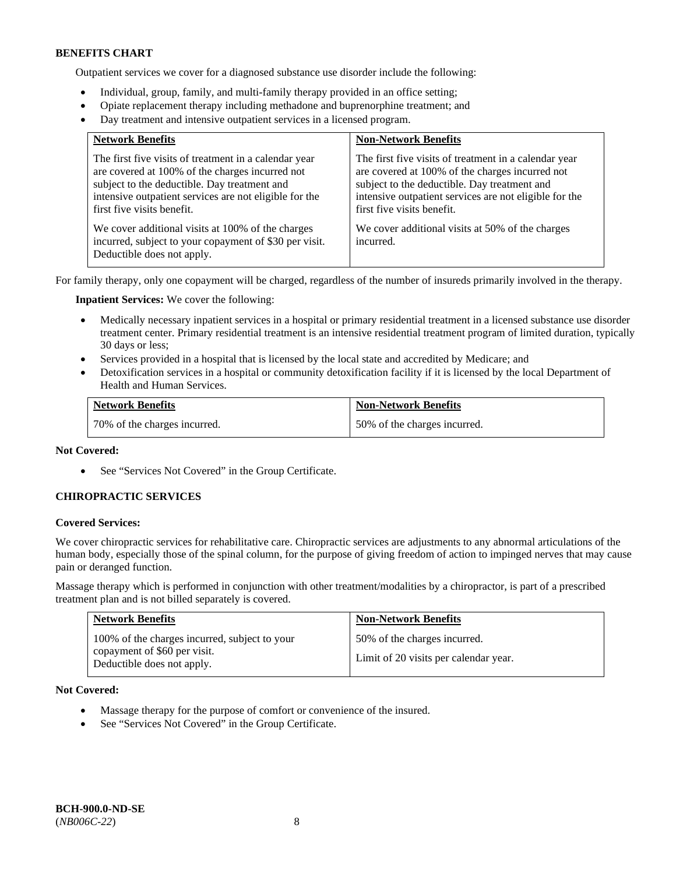Outpatient services we cover for a diagnosed substance use disorder include the following:

- Individual, group, family, and multi-family therapy provided in an office setting;
- Opiate replacement therapy including methadone and buprenorphine treatment; and
- Day treatment and intensive outpatient services in a licensed program.

| <b>Network Benefits</b>                                                                                                                                                                                                                          | <b>Non-Network Benefits</b>                                                                                                                                                                                                                      |
|--------------------------------------------------------------------------------------------------------------------------------------------------------------------------------------------------------------------------------------------------|--------------------------------------------------------------------------------------------------------------------------------------------------------------------------------------------------------------------------------------------------|
| The first five visits of treatment in a calendar year<br>are covered at 100% of the charges incurred not<br>subject to the deductible. Day treatment and<br>intensive outpatient services are not eligible for the<br>first five visits benefit. | The first five visits of treatment in a calendar year<br>are covered at 100% of the charges incurred not<br>subject to the deductible. Day treatment and<br>intensive outpatient services are not eligible for the<br>first five visits benefit. |
| We cover additional visits at 100% of the charges<br>incurred, subject to your copayment of \$30 per visit.<br>Deductible does not apply.                                                                                                        | We cover additional visits at 50% of the charges<br>incurred.                                                                                                                                                                                    |

For family therapy, only one copayment will be charged, regardless of the number of insureds primarily involved in the therapy.

**Inpatient Services:** We cover the following:

- Medically necessary inpatient services in a hospital or primary residential treatment in a licensed substance use disorder treatment center. Primary residential treatment is an intensive residential treatment program of limited duration, typically 30 days or less;
- Services provided in a hospital that is licensed by the local state and accredited by Medicare; and
- Detoxification services in a hospital or community detoxification facility if it is licensed by the local Department of Health and Human Services.

| <b>Network Benefits</b>      | <b>Non-Network Benefits</b>  |
|------------------------------|------------------------------|
| 70% of the charges incurred. | 50% of the charges incurred. |

### **Not Covered:**

• See "Services Not Covered" in the Group Certificate.

### **CHIROPRACTIC SERVICES**

#### **Covered Services:**

We cover chiropractic services for rehabilitative care. Chiropractic services are adjustments to any abnormal articulations of the human body, especially those of the spinal column, for the purpose of giving freedom of action to impinged nerves that may cause pain or deranged function.

Massage therapy which is performed in conjunction with other treatment/modalities by a chiropractor, is part of a prescribed treatment plan and is not billed separately is covered.

| <b>Network Benefits</b>                                                                                     | <b>Non-Network Benefits</b>                                           |
|-------------------------------------------------------------------------------------------------------------|-----------------------------------------------------------------------|
| 100% of the charges incurred, subject to your<br>copayment of \$60 per visit.<br>Deductible does not apply. | 50% of the charges incurred.<br>Limit of 20 visits per calendar year. |

**Not Covered:** 

- Massage therapy for the purpose of comfort or convenience of the insured.
- See "Services Not Covered" in the Group Certificate.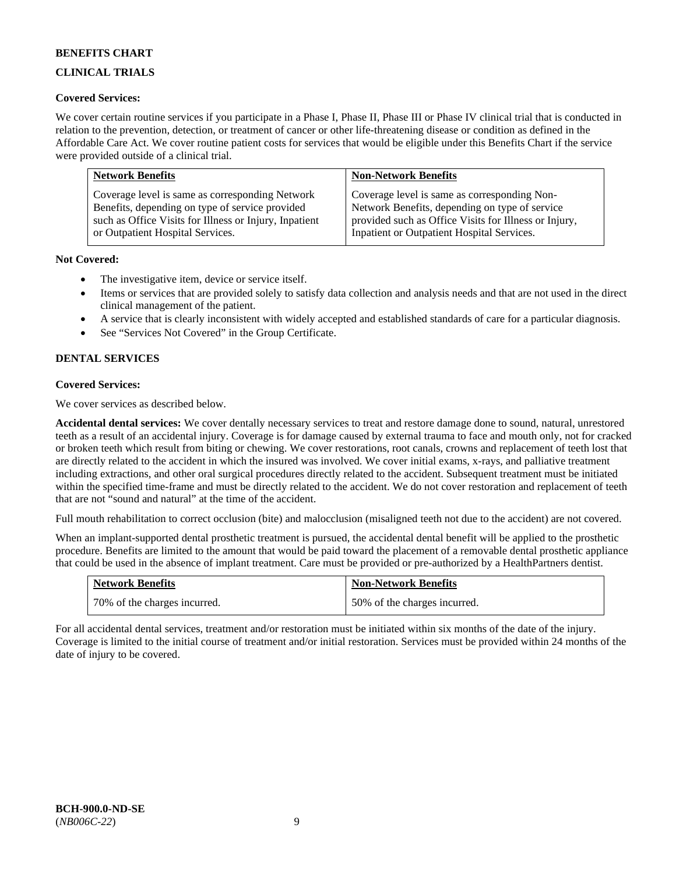# **CLINICAL TRIALS**

### **Covered Services:**

We cover certain routine services if you participate in a Phase I, Phase II, Phase III or Phase IV clinical trial that is conducted in relation to the prevention, detection, or treatment of cancer or other life-threatening disease or condition as defined in the Affordable Care Act. We cover routine patient costs for services that would be eligible under this Benefits Chart if the service were provided outside of a clinical trial.

| <b>Network Benefits</b>                                | <b>Non-Network Benefits</b>                           |
|--------------------------------------------------------|-------------------------------------------------------|
| Coverage level is same as corresponding Network        | Coverage level is same as corresponding Non-          |
| Benefits, depending on type of service provided        | Network Benefits, depending on type of service        |
| such as Office Visits for Illness or Injury, Inpatient | provided such as Office Visits for Illness or Injury, |
| or Outpatient Hospital Services.                       | Inpatient or Outpatient Hospital Services.            |

### **Not Covered:**

- The investigative item, device or service itself.
- Items or services that are provided solely to satisfy data collection and analysis needs and that are not used in the direct clinical management of the patient.
- A service that is clearly inconsistent with widely accepted and established standards of care for a particular diagnosis.
- See "Services Not Covered" in the Group Certificate.

# **DENTAL SERVICES**

### **Covered Services:**

We cover services as described below.

**Accidental dental services:** We cover dentally necessary services to treat and restore damage done to sound, natural, unrestored teeth as a result of an accidental injury. Coverage is for damage caused by external trauma to face and mouth only, not for cracked or broken teeth which result from biting or chewing. We cover restorations, root canals, crowns and replacement of teeth lost that are directly related to the accident in which the insured was involved. We cover initial exams, x-rays, and palliative treatment including extractions, and other oral surgical procedures directly related to the accident. Subsequent treatment must be initiated within the specified time-frame and must be directly related to the accident. We do not cover restoration and replacement of teeth that are not "sound and natural" at the time of the accident.

Full mouth rehabilitation to correct occlusion (bite) and malocclusion (misaligned teeth not due to the accident) are not covered.

When an implant-supported dental prosthetic treatment is pursued, the accidental dental benefit will be applied to the prosthetic procedure. Benefits are limited to the amount that would be paid toward the placement of a removable dental prosthetic appliance that could be used in the absence of implant treatment. Care must be provided or pre-authorized by a HealthPartners dentist.

| <b>Network Benefits</b>      | <b>Non-Network Benefits</b>  |
|------------------------------|------------------------------|
| 70% of the charges incurred. | 50% of the charges incurred. |

For all accidental dental services, treatment and/or restoration must be initiated within six months of the date of the injury. Coverage is limited to the initial course of treatment and/or initial restoration. Services must be provided within 24 months of the date of injury to be covered.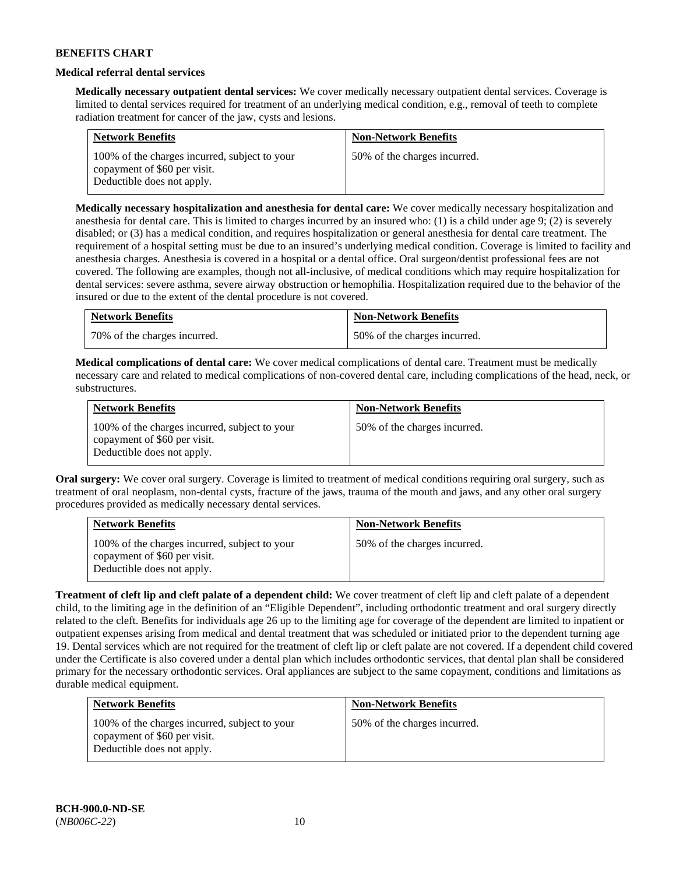### **Medical referral dental services**

**Medically necessary outpatient dental services:** We cover medically necessary outpatient dental services. Coverage is limited to dental services required for treatment of an underlying medical condition, e.g., removal of teeth to complete radiation treatment for cancer of the jaw, cysts and lesions.

| <b>Network Benefits</b>                                                                                     | <b>Non-Network Benefits</b>  |
|-------------------------------------------------------------------------------------------------------------|------------------------------|
| 100% of the charges incurred, subject to your<br>copayment of \$60 per visit.<br>Deductible does not apply. | 50% of the charges incurred. |

**Medically necessary hospitalization and anesthesia for dental care:** We cover medically necessary hospitalization and anesthesia for dental care. This is limited to charges incurred by an insured who: (1) is a child under age 9; (2) is severely disabled; or (3) has a medical condition, and requires hospitalization or general anesthesia for dental care treatment. The requirement of a hospital setting must be due to an insured's underlying medical condition. Coverage is limited to facility and anesthesia charges. Anesthesia is covered in a hospital or a dental office. Oral surgeon/dentist professional fees are not covered. The following are examples, though not all-inclusive, of medical conditions which may require hospitalization for dental services: severe asthma, severe airway obstruction or hemophilia. Hospitalization required due to the behavior of the insured or due to the extent of the dental procedure is not covered.

| <b>Network Benefits</b>      | <b>Non-Network Benefits</b>  |
|------------------------------|------------------------------|
| 70% of the charges incurred. | 50% of the charges incurred. |

**Medical complications of dental care:** We cover medical complications of dental care. Treatment must be medically necessary care and related to medical complications of non-covered dental care, including complications of the head, neck, or substructures.

| <b>Network Benefits</b>                                                                                     | <b>Non-Network Benefits</b>  |
|-------------------------------------------------------------------------------------------------------------|------------------------------|
| 100% of the charges incurred, subject to your<br>copayment of \$60 per visit.<br>Deductible does not apply. | 50% of the charges incurred. |

**Oral surgery:** We cover oral surgery. Coverage is limited to treatment of medical conditions requiring oral surgery, such as treatment of oral neoplasm, non-dental cysts, fracture of the jaws, trauma of the mouth and jaws, and any other oral surgery procedures provided as medically necessary dental services.

| <b>Network Benefits</b>                                                                                     | <b>Non-Network Benefits</b>  |
|-------------------------------------------------------------------------------------------------------------|------------------------------|
| 100% of the charges incurred, subject to your<br>copayment of \$60 per visit.<br>Deductible does not apply. | 50% of the charges incurred. |

**Treatment of cleft lip and cleft palate of a dependent child:** We cover treatment of cleft lip and cleft palate of a dependent child, to the limiting age in the definition of an "Eligible Dependent", including orthodontic treatment and oral surgery directly related to the cleft. Benefits for individuals age 26 up to the limiting age for coverage of the dependent are limited to inpatient or outpatient expenses arising from medical and dental treatment that was scheduled or initiated prior to the dependent turning age 19. Dental services which are not required for the treatment of cleft lip or cleft palate are not covered. If a dependent child covered under the Certificate is also covered under a dental plan which includes orthodontic services, that dental plan shall be considered primary for the necessary orthodontic services. Oral appliances are subject to the same copayment, conditions and limitations as durable medical equipment.

| <b>Network Benefits</b>                                                                                     | <b>Non-Network Benefits</b>  |
|-------------------------------------------------------------------------------------------------------------|------------------------------|
| 100% of the charges incurred, subject to your<br>copayment of \$60 per visit.<br>Deductible does not apply. | 50% of the charges incurred. |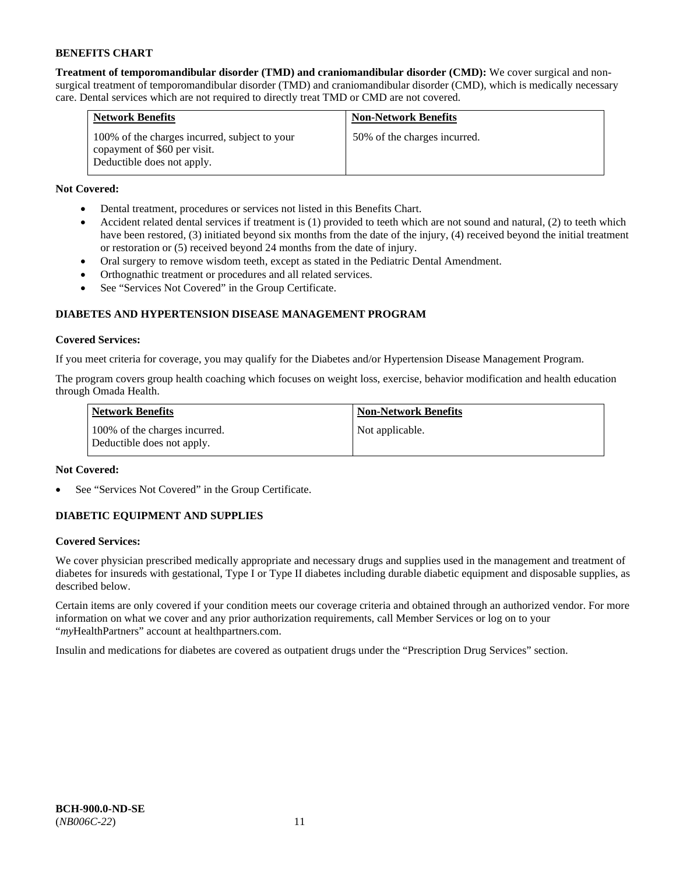**Treatment of temporomandibular disorder (TMD) and craniomandibular disorder (CMD):** We cover surgical and nonsurgical treatment of temporomandibular disorder (TMD) and craniomandibular disorder (CMD), which is medically necessary care. Dental services which are not required to directly treat TMD or CMD are not covered.

| <b>Network Benefits</b>                                                                                     | <b>Non-Network Benefits</b>  |
|-------------------------------------------------------------------------------------------------------------|------------------------------|
| 100% of the charges incurred, subject to your<br>copayment of \$60 per visit.<br>Deductible does not apply. | 50% of the charges incurred. |

# **Not Covered:**

- Dental treatment, procedures or services not listed in this Benefits Chart.
- Accident related dental services if treatment is (1) provided to teeth which are not sound and natural, (2) to teeth which have been restored, (3) initiated beyond six months from the date of the injury, (4) received beyond the initial treatment or restoration or (5) received beyond 24 months from the date of injury.
- Oral surgery to remove wisdom teeth, except as stated in the Pediatric Dental Amendment.
- Orthognathic treatment or procedures and all related services.
- See "Services Not Covered" in the Group Certificate.

# **DIABETES AND HYPERTENSION DISEASE MANAGEMENT PROGRAM**

### **Covered Services:**

If you meet criteria for coverage, you may qualify for the Diabetes and/or Hypertension Disease Management Program.

The program covers group health coaching which focuses on weight loss, exercise, behavior modification and health education through Omada Health.

| <b>Network Benefits</b>                                     | <b>Non-Network Benefits</b> |
|-------------------------------------------------------------|-----------------------------|
| 100% of the charges incurred.<br>Deductible does not apply. | Not applicable.             |

### **Not Covered:**

See "Services Not Covered" in the Group Certificate.

# **DIABETIC EQUIPMENT AND SUPPLIES**

### **Covered Services:**

We cover physician prescribed medically appropriate and necessary drugs and supplies used in the management and treatment of diabetes for insureds with gestational, Type I or Type II diabetes including durable diabetic equipment and disposable supplies, as described below.

Certain items are only covered if your condition meets our coverage criteria and obtained through an authorized vendor. For more information on what we cover and any prior authorization requirements, call Member Services or log on to your "*my*HealthPartners" account at [healthpartners.com.](http://www.healthpartners.com/)

Insulin and medications for diabetes are covered as outpatient drugs under the "Prescription Drug Services" section.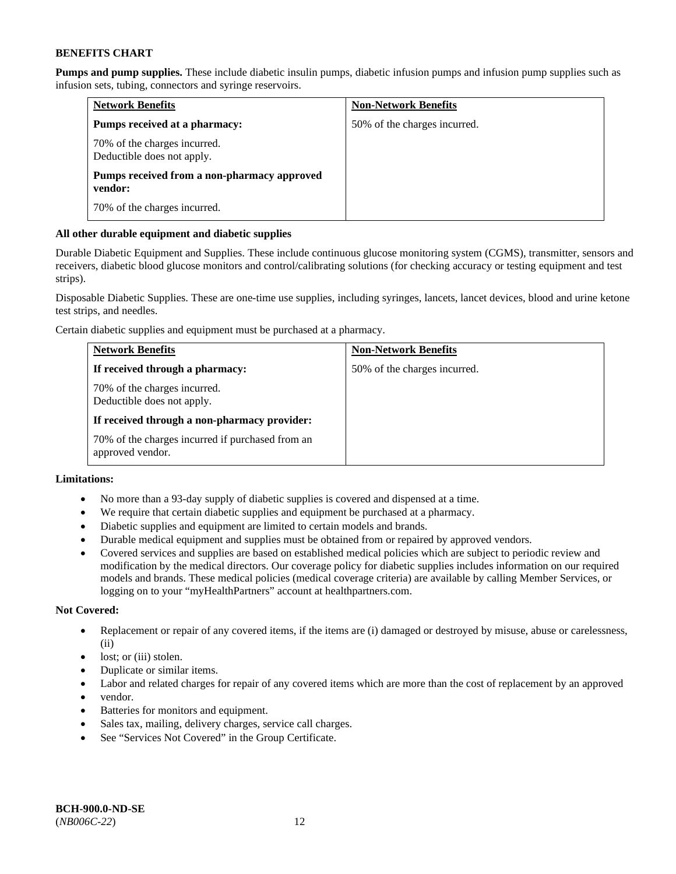**Pumps and pump supplies.** These include diabetic insulin pumps, diabetic infusion pumps and infusion pump supplies such as infusion sets, tubing, connectors and syringe reservoirs.

| <b>Network Benefits</b>                                    | <b>Non-Network Benefits</b>  |
|------------------------------------------------------------|------------------------------|
| Pumps received at a pharmacy:                              | 50% of the charges incurred. |
| 70% of the charges incurred.<br>Deductible does not apply. |                              |
| Pumps received from a non-pharmacy approved<br>vendor:     |                              |
| 70% of the charges incurred.                               |                              |

### **All other durable equipment and diabetic supplies**

Durable Diabetic Equipment and Supplies. These include continuous glucose monitoring system (CGMS), transmitter, sensors and receivers, diabetic blood glucose monitors and control/calibrating solutions (for checking accuracy or testing equipment and test strips).

Disposable Diabetic Supplies. These are one-time use supplies, including syringes, lancets, lancet devices, blood and urine ketone test strips, and needles.

Certain diabetic supplies and equipment must be purchased at a pharmacy.

| <b>Network Benefits</b>                                              | <b>Non-Network Benefits</b>  |
|----------------------------------------------------------------------|------------------------------|
| If received through a pharmacy:                                      | 50% of the charges incurred. |
| 70% of the charges incurred.<br>Deductible does not apply.           |                              |
| If received through a non-pharmacy provider:                         |                              |
| 70% of the charges incurred if purchased from an<br>approved vendor. |                              |

# **Limitations:**

- No more than a 93-day supply of diabetic supplies is covered and dispensed at a time.
- We require that certain diabetic supplies and equipment be purchased at a pharmacy.
- Diabetic supplies and equipment are limited to certain models and brands.
- Durable medical equipment and supplies must be obtained from or repaired by approved vendors.
- Covered services and supplies are based on established medical policies which are subject to periodic review and modification by the medical directors. Our coverage policy for diabetic supplies includes information on our required models and brands. These medical policies (medical coverage criteria) are available by calling Member Services, or logging on to your "myHealthPartners" account a[t healthpartners.com.](http://www.healthpartners.com/)

### **Not Covered:**

- Replacement or repair of any covered items, if the items are (i) damaged or destroyed by misuse, abuse or carelessness, (ii)
- lost; or (iii) stolen.
- Duplicate or similar items.
- Labor and related charges for repair of any covered items which are more than the cost of replacement by an approved
- vendor.
- Batteries for monitors and equipment.
- Sales tax, mailing, delivery charges, service call charges.
- See "Services Not Covered" in the Group Certificate.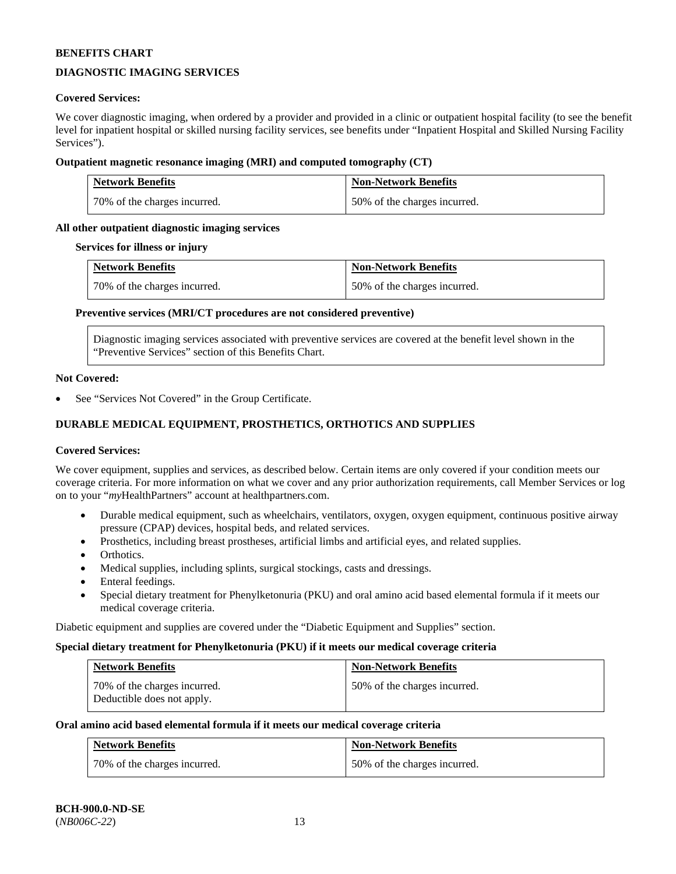# **DIAGNOSTIC IMAGING SERVICES**

### **Covered Services:**

We cover diagnostic imaging, when ordered by a provider and provided in a clinic or outpatient hospital facility (to see the benefit level for inpatient hospital or skilled nursing facility services, see benefits under "Inpatient Hospital and Skilled Nursing Facility Services").

### **Outpatient magnetic resonance imaging (MRI) and computed tomography (CT)**

| <b>Network Benefits</b>      | <b>Non-Network Benefits</b>  |
|------------------------------|------------------------------|
| 70% of the charges incurred. | 50% of the charges incurred. |

### **All other outpatient diagnostic imaging services**

#### **Services for illness or injury**

| <b>Network Benefits</b>      | <b>Non-Network Benefits</b>  |
|------------------------------|------------------------------|
| 70% of the charges incurred. | 50% of the charges incurred. |

### **Preventive services (MRI/CT procedures are not considered preventive)**

Diagnostic imaging services associated with preventive services are covered at the benefit level shown in the "Preventive Services" section of this Benefits Chart.

#### **Not Covered:**

See "Services Not Covered" in the Group Certificate.

# **DURABLE MEDICAL EQUIPMENT, PROSTHETICS, ORTHOTICS AND SUPPLIES**

#### **Covered Services:**

We cover equipment, supplies and services, as described below. Certain items are only covered if your condition meets our coverage criteria. For more information on what we cover and any prior authorization requirements, call Member Services or log on to your "*my*HealthPartners" account at [healthpartners.com.](http://www.healthpartners.com/)

- Durable medical equipment, such as wheelchairs, ventilators, oxygen, oxygen equipment, continuous positive airway pressure (CPAP) devices, hospital beds, and related services.
- Prosthetics, including breast prostheses, artificial limbs and artificial eyes, and related supplies.
- Orthotics.
- Medical supplies, including splints, surgical stockings, casts and dressings.
- Enteral feedings.
- Special dietary treatment for Phenylketonuria (PKU) and oral amino acid based elemental formula if it meets our medical coverage criteria.

Diabetic equipment and supplies are covered under the "Diabetic Equipment and Supplies" section.

#### **Special dietary treatment for Phenylketonuria (PKU) if it meets our medical coverage criteria**

| Network Benefits                                           | <b>Non-Network Benefits</b>  |
|------------------------------------------------------------|------------------------------|
| 70% of the charges incurred.<br>Deductible does not apply. | 50% of the charges incurred. |

#### **Oral amino acid based elemental formula if it meets our medical coverage criteria**

| <b>Network Benefits</b>      | <b>Non-Network Benefits</b>  |
|------------------------------|------------------------------|
| 70% of the charges incurred. | 50% of the charges incurred. |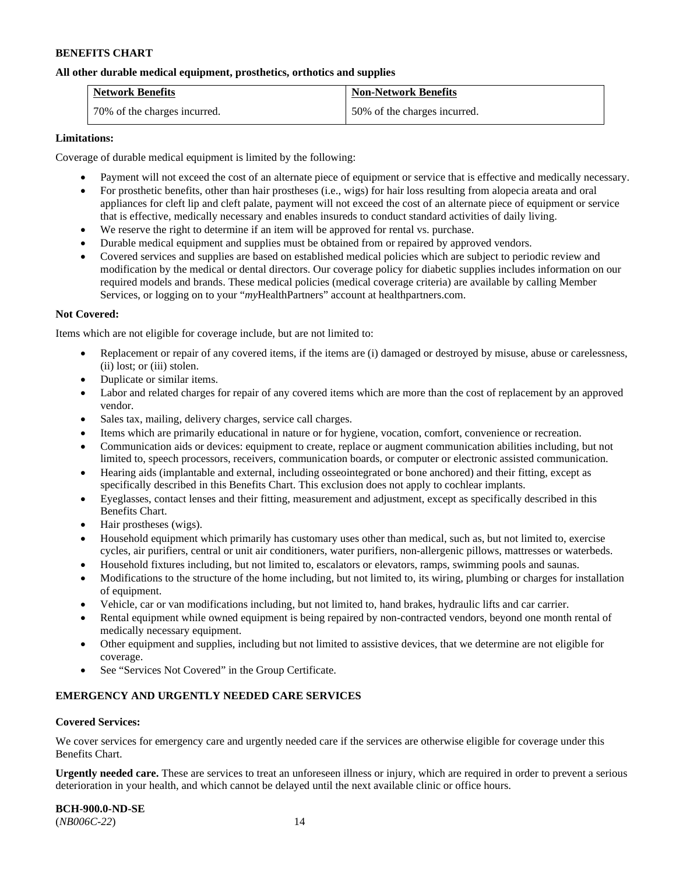### **All other durable medical equipment, prosthetics, orthotics and supplies**

| <b>Network Benefits</b>      | <b>Non-Network Benefits</b>  |
|------------------------------|------------------------------|
| 70% of the charges incurred. | 50% of the charges incurred. |

### **Limitations:**

Coverage of durable medical equipment is limited by the following:

- Payment will not exceed the cost of an alternate piece of equipment or service that is effective and medically necessary.
- For prosthetic benefits, other than hair prostheses (i.e., wigs) for hair loss resulting from alopecia areata and oral appliances for cleft lip and cleft palate, payment will not exceed the cost of an alternate piece of equipment or service that is effective, medically necessary and enables insureds to conduct standard activities of daily living.
- We reserve the right to determine if an item will be approved for rental vs. purchase.
- Durable medical equipment and supplies must be obtained from or repaired by approved vendors.
- Covered services and supplies are based on established medical policies which are subject to periodic review and modification by the medical or dental directors. Our coverage policy for diabetic supplies includes information on our required models and brands. These medical policies (medical coverage criteria) are available by calling Member Services, or logging on to your "*my*HealthPartners" account at [healthpartners.com.](http://www.healthpartners.com/)

### **Not Covered:**

Items which are not eligible for coverage include, but are not limited to:

- Replacement or repair of any covered items, if the items are (i) damaged or destroyed by misuse, abuse or carelessness, (ii) lost; or (iii) stolen.
- Duplicate or similar items.
- Labor and related charges for repair of any covered items which are more than the cost of replacement by an approved vendor.
- Sales tax, mailing, delivery charges, service call charges.
- Items which are primarily educational in nature or for hygiene, vocation, comfort, convenience or recreation.
- Communication aids or devices: equipment to create, replace or augment communication abilities including, but not limited to, speech processors, receivers, communication boards, or computer or electronic assisted communication.
- Hearing aids (implantable and external, including osseointegrated or bone anchored) and their fitting, except as specifically described in this Benefits Chart. This exclusion does not apply to cochlear implants.
- Eyeglasses, contact lenses and their fitting, measurement and adjustment, except as specifically described in this Benefits Chart.
- Hair prostheses (wigs).
- Household equipment which primarily has customary uses other than medical, such as, but not limited to, exercise cycles, air purifiers, central or unit air conditioners, water purifiers, non-allergenic pillows, mattresses or waterbeds.
- Household fixtures including, but not limited to, escalators or elevators, ramps, swimming pools and saunas.
- Modifications to the structure of the home including, but not limited to, its wiring, plumbing or charges for installation of equipment.
- Vehicle, car or van modifications including, but not limited to, hand brakes, hydraulic lifts and car carrier.
- Rental equipment while owned equipment is being repaired by non-contracted vendors, beyond one month rental of medically necessary equipment.
- Other equipment and supplies, including but not limited to assistive devices, that we determine are not eligible for coverage.
- See "Services Not Covered" in the Group Certificate.

### **EMERGENCY AND URGENTLY NEEDED CARE SERVICES**

#### **Covered Services:**

We cover services for emergency care and urgently needed care if the services are otherwise eligible for coverage under this Benefits Chart.

**Urgently needed care.** These are services to treat an unforeseen illness or injury, which are required in order to prevent a serious deterioration in your health, and which cannot be delayed until the next available clinic or office hours.

**BCH-900.0-ND-SE** (*NB006C-22*) 14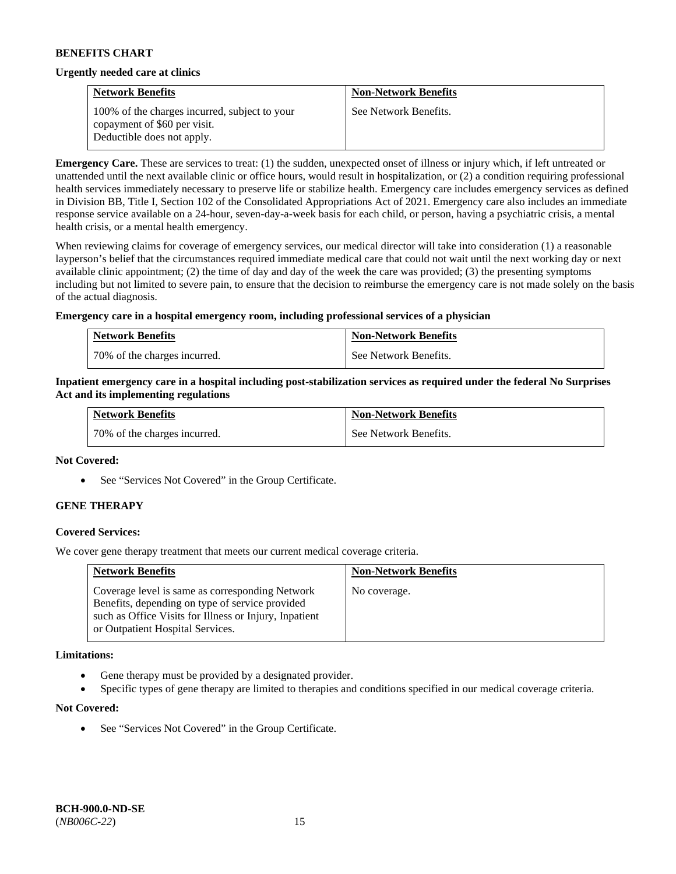#### **Urgently needed care at clinics**

| <b>Network Benefits</b>                                                                                     | <b>Non-Network Benefits</b> |
|-------------------------------------------------------------------------------------------------------------|-----------------------------|
| 100% of the charges incurred, subject to your<br>copayment of \$60 per visit.<br>Deductible does not apply. | See Network Benefits.       |

**Emergency Care.** These are services to treat: (1) the sudden, unexpected onset of illness or injury which, if left untreated or unattended until the next available clinic or office hours, would result in hospitalization, or (2) a condition requiring professional health services immediately necessary to preserve life or stabilize health. Emergency care includes emergency services as defined in Division BB, Title I, Section 102 of the Consolidated Appropriations Act of 2021. Emergency care also includes an immediate response service available on a 24-hour, seven-day-a-week basis for each child, or person, having a psychiatric crisis, a mental health crisis, or a mental health emergency.

When reviewing claims for coverage of emergency services, our medical director will take into consideration (1) a reasonable layperson's belief that the circumstances required immediate medical care that could not wait until the next working day or next available clinic appointment; (2) the time of day and day of the week the care was provided; (3) the presenting symptoms including but not limited to severe pain, to ensure that the decision to reimburse the emergency care is not made solely on the basis of the actual diagnosis.

### **Emergency care in a hospital emergency room, including professional services of a physician**

| <b>Network Benefits</b>        | <b>Non-Network Benefits</b> |
|--------------------------------|-----------------------------|
| 1 70% of the charges incurred. | See Network Benefits.       |

#### **Inpatient emergency care in a hospital including post-stabilization services as required under the federal No Surprises Act and its implementing regulations**

| <b>Network Benefits</b>      | <b>Non-Network Benefits</b> |
|------------------------------|-----------------------------|
| 70% of the charges incurred. | See Network Benefits.       |

#### **Not Covered:**

• See "Services Not Covered" in the Group Certificate.

### **GENE THERAPY**

### **Covered Services:**

We cover gene therapy treatment that meets our current medical coverage criteria.

| <b>Network Benefits</b>                                                                                                                                                                          | <b>Non-Network Benefits</b> |
|--------------------------------------------------------------------------------------------------------------------------------------------------------------------------------------------------|-----------------------------|
| Coverage level is same as corresponding Network<br>Benefits, depending on type of service provided<br>such as Office Visits for Illness or Injury, Inpatient<br>or Outpatient Hospital Services. | No coverage.                |

#### **Limitations:**

- Gene therapy must be provided by a designated provider.
- Specific types of gene therapy are limited to therapies and conditions specified in our medical coverage criteria.

#### **Not Covered:**

See "Services Not Covered" in the Group Certificate.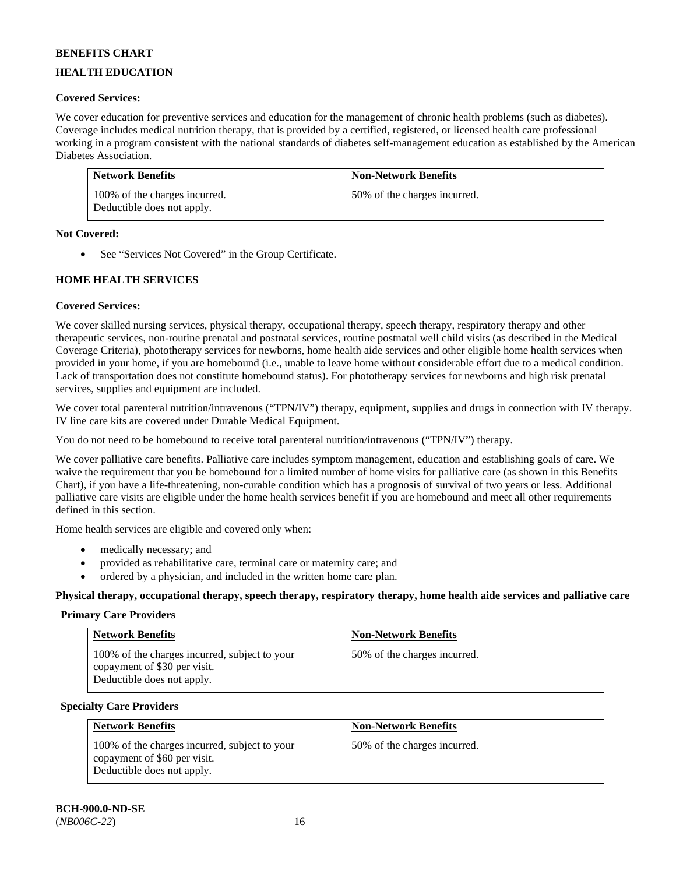# **HEALTH EDUCATION**

# **Covered Services:**

We cover education for preventive services and education for the management of chronic health problems (such as diabetes). Coverage includes medical nutrition therapy, that is provided by a certified, registered, or licensed health care professional working in a program consistent with the national standards of diabetes self-management education as established by the American Diabetes Association.

| <b>Network Benefits</b>                                     | <b>Non-Network Benefits</b>  |
|-------------------------------------------------------------|------------------------------|
| 100% of the charges incurred.<br>Deductible does not apply. | 50% of the charges incurred. |

### **Not Covered:**

• See "Services Not Covered" in the Group Certificate.

### **HOME HEALTH SERVICES**

### **Covered Services:**

We cover skilled nursing services, physical therapy, occupational therapy, speech therapy, respiratory therapy and other therapeutic services, non-routine prenatal and postnatal services, routine postnatal well child visits (as described in the Medical Coverage Criteria), phototherapy services for newborns, home health aide services and other eligible home health services when provided in your home, if you are homebound (i.e., unable to leave home without considerable effort due to a medical condition. Lack of transportation does not constitute homebound status). For phototherapy services for newborns and high risk prenatal services, supplies and equipment are included.

We cover total parenteral nutrition/intravenous ("TPN/IV") therapy, equipment, supplies and drugs in connection with IV therapy. IV line care kits are covered under Durable Medical Equipment.

You do not need to be homebound to receive total parenteral nutrition/intravenous ("TPN/IV") therapy.

We cover palliative care benefits. Palliative care includes symptom management, education and establishing goals of care. We waive the requirement that you be homebound for a limited number of home visits for palliative care (as shown in this Benefits Chart), if you have a life-threatening, non-curable condition which has a prognosis of survival of two years or less. Additional palliative care visits are eligible under the home health services benefit if you are homebound and meet all other requirements defined in this section.

Home health services are eligible and covered only when:

- medically necessary; and
- provided as rehabilitative care, terminal care or maternity care; and
- ordered by a physician, and included in the written home care plan.

**Physical therapy, occupational therapy, speech therapy, respiratory therapy, home health aide services and palliative care**

#### **Primary Care Providers**

| <b>Network Benefits</b>                                                                                     | <b>Non-Network Benefits</b>  |
|-------------------------------------------------------------------------------------------------------------|------------------------------|
| 100% of the charges incurred, subject to your<br>copayment of \$30 per visit.<br>Deductible does not apply. | 50% of the charges incurred. |

#### **Specialty Care Providers**

| <b>Network Benefits</b>                                                                                     | <b>Non-Network Benefits</b>  |
|-------------------------------------------------------------------------------------------------------------|------------------------------|
| 100% of the charges incurred, subject to your<br>copayment of \$60 per visit.<br>Deductible does not apply. | 50% of the charges incurred. |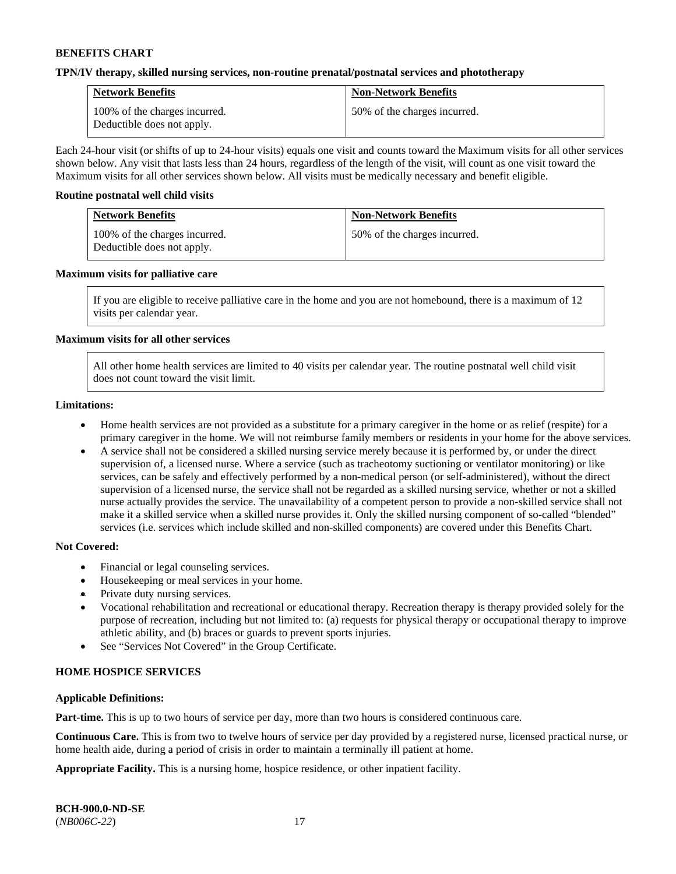#### **TPN/IV therapy, skilled nursing services, non-routine prenatal/postnatal services and phototherapy**

| <b>Network Benefits</b>                                     | <b>Non-Network Benefits</b>  |
|-------------------------------------------------------------|------------------------------|
| 100% of the charges incurred.<br>Deductible does not apply. | 50% of the charges incurred. |

Each 24-hour visit (or shifts of up to 24-hour visits) equals one visit and counts toward the Maximum visits for all other services shown below. Any visit that lasts less than 24 hours, regardless of the length of the visit, will count as one visit toward the Maximum visits for all other services shown below. All visits must be medically necessary and benefit eligible.

#### **Routine postnatal well child visits**

| <b>Network Benefits</b>                                     | <b>Non-Network Benefits</b>  |
|-------------------------------------------------------------|------------------------------|
| 100% of the charges incurred.<br>Deductible does not apply. | 50% of the charges incurred. |

#### **Maximum visits for palliative care**

If you are eligible to receive palliative care in the home and you are not homebound, there is a maximum of 12 visits per calendar year.

### **Maximum visits for all other services**

All other home health services are limited to 40 visits per calendar year. The routine postnatal well child visit does not count toward the visit limit.

#### **Limitations:**

- Home health services are not provided as a substitute for a primary caregiver in the home or as relief (respite) for a primary caregiver in the home. We will not reimburse family members or residents in your home for the above services.
- A service shall not be considered a skilled nursing service merely because it is performed by, or under the direct supervision of, a licensed nurse. Where a service (such as tracheotomy suctioning or ventilator monitoring) or like services, can be safely and effectively performed by a non-medical person (or self-administered), without the direct supervision of a licensed nurse, the service shall not be regarded as a skilled nursing service, whether or not a skilled nurse actually provides the service. The unavailability of a competent person to provide a non-skilled service shall not make it a skilled service when a skilled nurse provides it. Only the skilled nursing component of so-called "blended" services (i.e. services which include skilled and non-skilled components) are covered under this Benefits Chart.

#### **Not Covered:**

- Financial or legal counseling services.
- Housekeeping or meal services in your home.
- Private duty nursing services.
- Vocational rehabilitation and recreational or educational therapy. Recreation therapy is therapy provided solely for the purpose of recreation, including but not limited to: (a) requests for physical therapy or occupational therapy to improve athletic ability, and (b) braces or guards to prevent sports injuries.
- See "Services Not Covered" in the Group Certificate.

### **HOME HOSPICE SERVICES**

#### **Applicable Definitions:**

**Part-time.** This is up to two hours of service per day, more than two hours is considered continuous care.

**Continuous Care.** This is from two to twelve hours of service per day provided by a registered nurse, licensed practical nurse, or home health aide, during a period of crisis in order to maintain a terminally ill patient at home.

**Appropriate Facility.** This is a nursing home, hospice residence, or other inpatient facility.

| <b>BCH-900.0-ND-SE</b> |  |
|------------------------|--|
| $(NB006C-22)$          |  |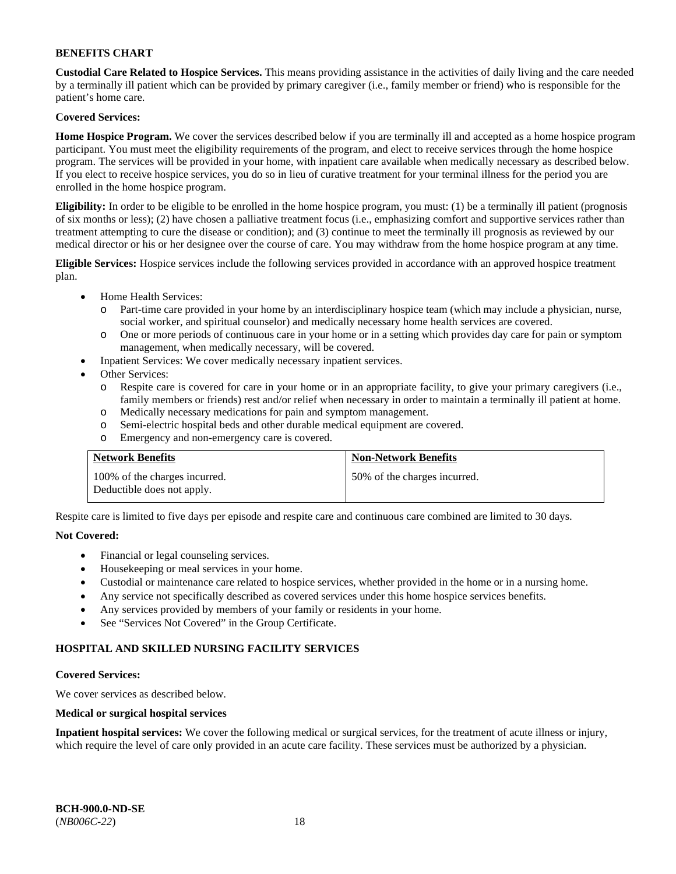**Custodial Care Related to Hospice Services.** This means providing assistance in the activities of daily living and the care needed by a terminally ill patient which can be provided by primary caregiver (i.e., family member or friend) who is responsible for the patient's home care.

## **Covered Services:**

**Home Hospice Program.** We cover the services described below if you are terminally ill and accepted as a home hospice program participant. You must meet the eligibility requirements of the program, and elect to receive services through the home hospice program. The services will be provided in your home, with inpatient care available when medically necessary as described below. If you elect to receive hospice services, you do so in lieu of curative treatment for your terminal illness for the period you are enrolled in the home hospice program.

**Eligibility:** In order to be eligible to be enrolled in the home hospice program, you must: (1) be a terminally ill patient (prognosis of six months or less); (2) have chosen a palliative treatment focus (i.e., emphasizing comfort and supportive services rather than treatment attempting to cure the disease or condition); and (3) continue to meet the terminally ill prognosis as reviewed by our medical director or his or her designee over the course of care. You may withdraw from the home hospice program at any time.

**Eligible Services:** Hospice services include the following services provided in accordance with an approved hospice treatment plan.

- Home Health Services:
	- o Part-time care provided in your home by an interdisciplinary hospice team (which may include a physician, nurse, social worker, and spiritual counselor) and medically necessary home health services are covered.
	- o One or more periods of continuous care in your home or in a setting which provides day care for pain or symptom management, when medically necessary, will be covered.
	- Inpatient Services: We cover medically necessary inpatient services.
- Other Services:
	- o Respite care is covered for care in your home or in an appropriate facility, to give your primary caregivers (i.e., family members or friends) rest and/or relief when necessary in order to maintain a terminally ill patient at home.
	- o Medically necessary medications for pain and symptom management.
	- o Semi-electric hospital beds and other durable medical equipment are covered.
	- o Emergency and non-emergency care is covered.

| <b>Network Benefits</b>                                     | <b>Non-Network Benefits</b>  |
|-------------------------------------------------------------|------------------------------|
| 100% of the charges incurred.<br>Deductible does not apply. | 50% of the charges incurred. |

Respite care is limited to five days per episode and respite care and continuous care combined are limited to 30 days.

### **Not Covered:**

- Financial or legal counseling services.
- Housekeeping or meal services in your home.
- Custodial or maintenance care related to hospice services, whether provided in the home or in a nursing home.
- Any service not specifically described as covered services under this home hospice services benefits.
- Any services provided by members of your family or residents in your home.
- See "Services Not Covered" in the Group Certificate.

### **HOSPITAL AND SKILLED NURSING FACILITY SERVICES**

#### **Covered Services:**

We cover services as described below.

### **Medical or surgical hospital services**

**Inpatient hospital services:** We cover the following medical or surgical services, for the treatment of acute illness or injury, which require the level of care only provided in an acute care facility. These services must be authorized by a physician.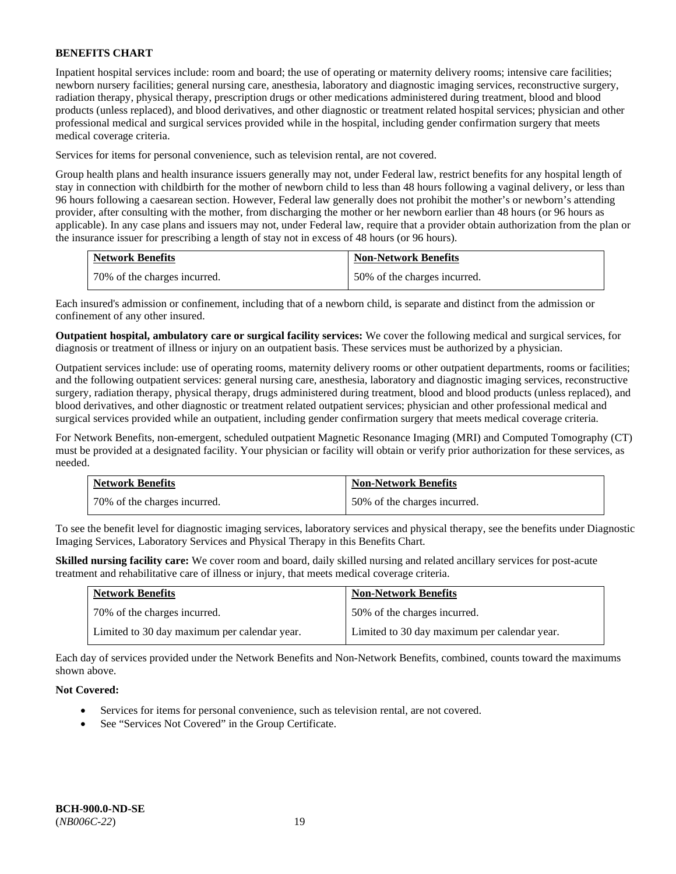Inpatient hospital services include: room and board; the use of operating or maternity delivery rooms; intensive care facilities; newborn nursery facilities; general nursing care, anesthesia, laboratory and diagnostic imaging services, reconstructive surgery, radiation therapy, physical therapy, prescription drugs or other medications administered during treatment, blood and blood products (unless replaced), and blood derivatives, and other diagnostic or treatment related hospital services; physician and other professional medical and surgical services provided while in the hospital, including gender confirmation surgery that meets medical coverage criteria.

Services for items for personal convenience, such as television rental, are not covered.

Group health plans and health insurance issuers generally may not, under Federal law, restrict benefits for any hospital length of stay in connection with childbirth for the mother of newborn child to less than 48 hours following a vaginal delivery, or less than 96 hours following a caesarean section. However, Federal law generally does not prohibit the mother's or newborn's attending provider, after consulting with the mother, from discharging the mother or her newborn earlier than 48 hours (or 96 hours as applicable). In any case plans and issuers may not, under Federal law, require that a provider obtain authorization from the plan or the insurance issuer for prescribing a length of stay not in excess of 48 hours (or 96 hours).

| <b>Network Benefits</b>      | <b>Non-Network Benefits</b>  |
|------------------------------|------------------------------|
| 70% of the charges incurred. | 50% of the charges incurred. |

Each insured's admission or confinement, including that of a newborn child, is separate and distinct from the admission or confinement of any other insured.

**Outpatient hospital, ambulatory care or surgical facility services:** We cover the following medical and surgical services, for diagnosis or treatment of illness or injury on an outpatient basis. These services must be authorized by a physician.

Outpatient services include: use of operating rooms, maternity delivery rooms or other outpatient departments, rooms or facilities; and the following outpatient services: general nursing care, anesthesia, laboratory and diagnostic imaging services, reconstructive surgery, radiation therapy, physical therapy, drugs administered during treatment, blood and blood products (unless replaced), and blood derivatives, and other diagnostic or treatment related outpatient services; physician and other professional medical and surgical services provided while an outpatient, including gender confirmation surgery that meets medical coverage criteria.

For Network Benefits, non-emergent, scheduled outpatient Magnetic Resonance Imaging (MRI) and Computed Tomography (CT) must be provided at a designated facility. Your physician or facility will obtain or verify prior authorization for these services, as needed.

| <b>Network Benefits</b>      | <b>Non-Network Benefits</b>  |
|------------------------------|------------------------------|
| 70% of the charges incurred. | 50% of the charges incurred. |

To see the benefit level for diagnostic imaging services, laboratory services and physical therapy, see the benefits under Diagnostic Imaging Services, Laboratory Services and Physical Therapy in this Benefits Chart.

**Skilled nursing facility care:** We cover room and board, daily skilled nursing and related ancillary services for post-acute treatment and rehabilitative care of illness or injury, that meets medical coverage criteria.

| <b>Network Benefits</b>                      | <b>Non-Network Benefits</b>                  |
|----------------------------------------------|----------------------------------------------|
| 70% of the charges incurred.                 | 50% of the charges incurred.                 |
| Limited to 30 day maximum per calendar year. | Limited to 30 day maximum per calendar year. |

Each day of services provided under the Network Benefits and Non-Network Benefits, combined, counts toward the maximums shown above.

### **Not Covered:**

- Services for items for personal convenience, such as television rental, are not covered.
- See "Services Not Covered" in the Group Certificate.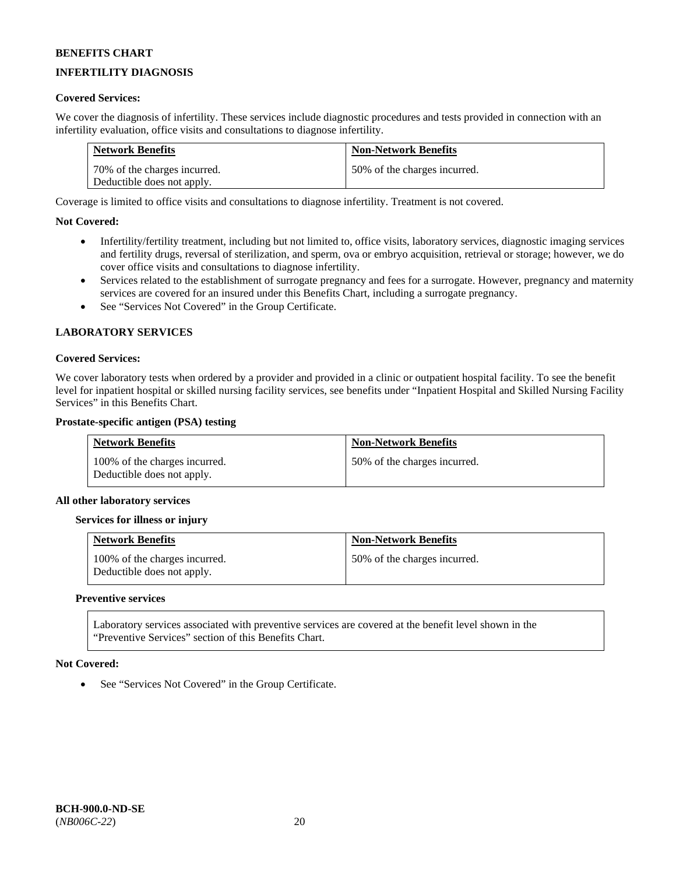# **INFERTILITY DIAGNOSIS**

### **Covered Services:**

We cover the diagnosis of infertility. These services include diagnostic procedures and tests provided in connection with an infertility evaluation, office visits and consultations to diagnose infertility.

| <b>Network Benefits</b>      | <b>Non-Network Benefits</b>  |
|------------------------------|------------------------------|
| 70% of the charges incurred. | 50% of the charges incurred. |
| Deductible does not apply.   |                              |

Coverage is limited to office visits and consultations to diagnose infertility. Treatment is not covered.

### **Not Covered:**

- Infertility/fertility treatment, including but not limited to, office visits, laboratory services, diagnostic imaging services and fertility drugs, reversal of sterilization, and sperm, ova or embryo acquisition, retrieval or storage; however, we do cover office visits and consultations to diagnose infertility.
- Services related to the establishment of surrogate pregnancy and fees for a surrogate. However, pregnancy and maternity services are covered for an insured under this Benefits Chart, including a surrogate pregnancy.
- See "Services Not Covered" in the Group Certificate.

### **LABORATORY SERVICES**

#### **Covered Services:**

We cover laboratory tests when ordered by a provider and provided in a clinic or outpatient hospital facility. To see the benefit level for inpatient hospital or skilled nursing facility services, see benefits under "Inpatient Hospital and Skilled Nursing Facility Services" in this Benefits Chart.

#### **Prostate-specific antigen (PSA) testing**

| <b>Network Benefits</b>                                     | <b>Non-Network Benefits</b>  |
|-------------------------------------------------------------|------------------------------|
| 100% of the charges incurred.<br>Deductible does not apply. | 50% of the charges incurred. |

#### **All other laboratory services**

#### **Services for illness or injury**

| <b>Network Benefits</b>                                     | <b>Non-Network Benefits</b>  |
|-------------------------------------------------------------|------------------------------|
| 100% of the charges incurred.<br>Deductible does not apply. | 50% of the charges incurred. |

#### **Preventive services**

Laboratory services associated with preventive services are covered at the benefit level shown in the "Preventive Services" section of this Benefits Chart.

#### **Not Covered:**

See "Services Not Covered" in the Group Certificate.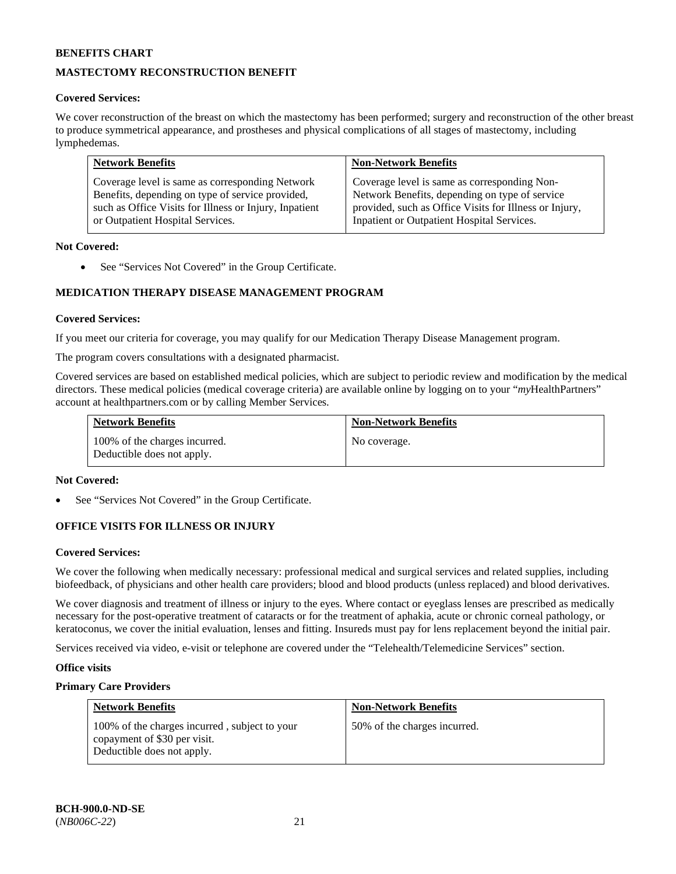# **MASTECTOMY RECONSTRUCTION BENEFIT**

### **Covered Services:**

We cover reconstruction of the breast on which the mastectomy has been performed; surgery and reconstruction of the other breast to produce symmetrical appearance, and prostheses and physical complications of all stages of mastectomy, including lymphedemas.

| <b>Network Benefits</b>                                | <b>Non-Network Benefits</b>                            |
|--------------------------------------------------------|--------------------------------------------------------|
| Coverage level is same as corresponding Network        | Coverage level is same as corresponding Non-           |
| Benefits, depending on type of service provided,       | Network Benefits, depending on type of service         |
| such as Office Visits for Illness or Injury, Inpatient | provided, such as Office Visits for Illness or Injury, |
| or Outpatient Hospital Services.                       | Inpatient or Outpatient Hospital Services.             |

### **Not Covered:**

• See "Services Not Covered" in the Group Certificate.

# **MEDICATION THERAPY DISEASE MANAGEMENT PROGRAM**

### **Covered Services:**

If you meet our criteria for coverage, you may qualify for our Medication Therapy Disease Management program.

The program covers consultations with a designated pharmacist.

Covered services are based on established medical policies, which are subject to periodic review and modification by the medical directors. These medical policies (medical coverage criteria) are available online by logging on to your "*my*HealthPartners" account a[t healthpartners.com](http://www.healthpartners.com/) or by calling Member Services.

| <b>Network Benefits</b>                                     | <b>Non-Network Benefits</b> |
|-------------------------------------------------------------|-----------------------------|
| 100% of the charges incurred.<br>Deductible does not apply. | No coverage.                |

#### **Not Covered:**

See "Services Not Covered" in the Group Certificate.

### **OFFICE VISITS FOR ILLNESS OR INJURY**

#### **Covered Services:**

We cover the following when medically necessary: professional medical and surgical services and related supplies, including biofeedback, of physicians and other health care providers; blood and blood products (unless replaced) and blood derivatives.

We cover diagnosis and treatment of illness or injury to the eyes. Where contact or eyeglass lenses are prescribed as medically necessary for the post-operative treatment of cataracts or for the treatment of aphakia, acute or chronic corneal pathology, or keratoconus, we cover the initial evaluation, lenses and fitting. Insureds must pay for lens replacement beyond the initial pair.

Services received via video, e-visit or telephone are covered under the "Telehealth/Telemedicine Services" section.

#### **Office visits**

### **Primary Care Providers**

| <b>Network Benefits</b>                                                                                     | <b>Non-Network Benefits</b>  |
|-------------------------------------------------------------------------------------------------------------|------------------------------|
| 100% of the charges incurred, subject to your<br>copayment of \$30 per visit.<br>Deductible does not apply. | 50% of the charges incurred. |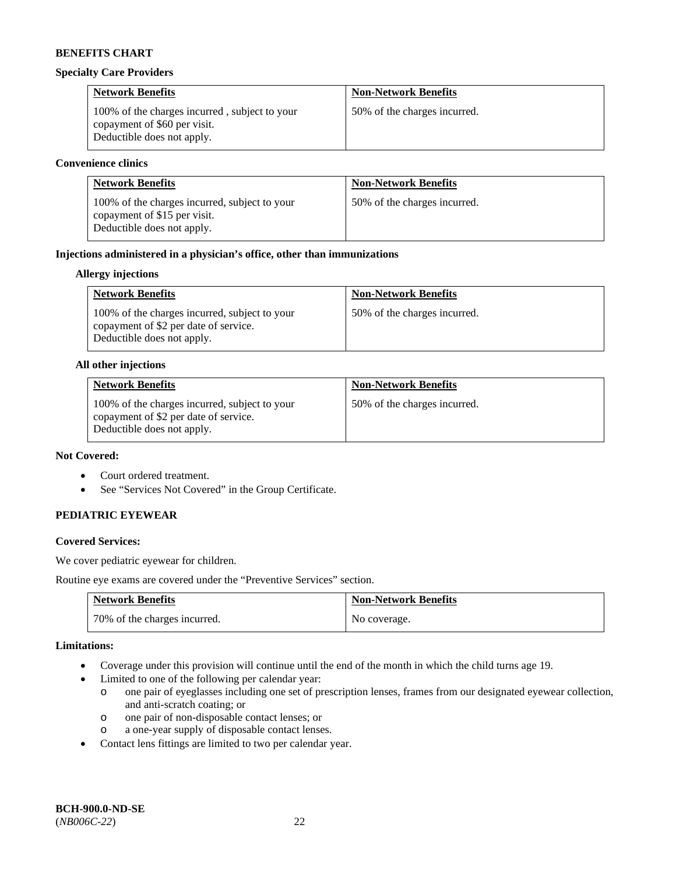#### **Specialty Care Providers**

| <b>Network Benefits</b>                                                                                     | <b>Non-Network Benefits</b>  |
|-------------------------------------------------------------------------------------------------------------|------------------------------|
| 100% of the charges incurred, subject to your<br>copayment of \$60 per visit.<br>Deductible does not apply. | 50% of the charges incurred. |

#### **Convenience clinics**

| <b>Network Benefits</b>                                                                                     | <b>Non-Network Benefits</b>  |
|-------------------------------------------------------------------------------------------------------------|------------------------------|
| 100% of the charges incurred, subject to your<br>copayment of \$15 per visit.<br>Deductible does not apply. | 50% of the charges incurred. |

### **Injections administered in a physician's office, other than immunizations**

### **Allergy injections**

| <b>Network Benefits</b>                                                                                              | <b>Non-Network Benefits</b>  |
|----------------------------------------------------------------------------------------------------------------------|------------------------------|
| 100% of the charges incurred, subject to your<br>copayment of \$2 per date of service.<br>Deductible does not apply. | 50% of the charges incurred. |

#### **All other injections**

| <b>Network Benefits</b>                                                                                              | <b>Non-Network Benefits</b>  |
|----------------------------------------------------------------------------------------------------------------------|------------------------------|
| 100% of the charges incurred, subject to your<br>copayment of \$2 per date of service.<br>Deductible does not apply. | 50% of the charges incurred. |

# **Not Covered:**

- Court ordered treatment.
- See "Services Not Covered" in the Group Certificate.

### **PEDIATRIC EYEWEAR**

### **Covered Services:**

We cover pediatric eyewear for children.

Routine eye exams are covered under the "Preventive Services" section.

| <b>Network Benefits</b>      | <b>Non-Network Benefits</b> |
|------------------------------|-----------------------------|
| 70% of the charges incurred. | No coverage.                |

#### **Limitations:**

- Coverage under this provision will continue until the end of the month in which the child turns age 19.
- Limited to one of the following per calendar year:
	- o one pair of eyeglasses including one set of prescription lenses, frames from our designated eyewear collection, and anti-scratch coating; or
	- o one pair of non-disposable contact lenses; or
	- o a one-year supply of disposable contact lenses.
- Contact lens fittings are limited to two per calendar year.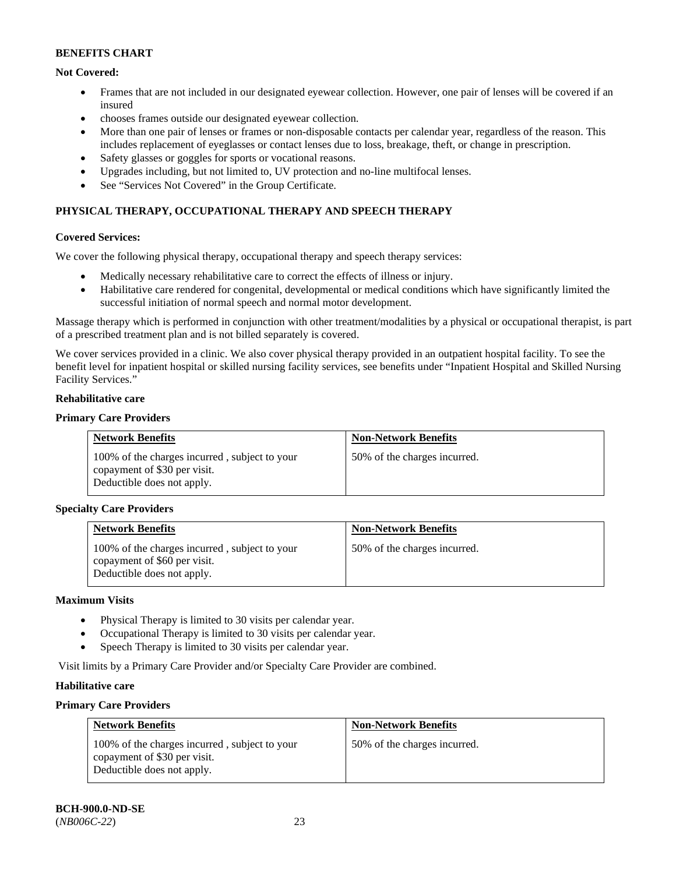### **Not Covered:**

- Frames that are not included in our designated eyewear collection. However, one pair of lenses will be covered if an insured
- chooses frames outside our designated eyewear collection.
- More than one pair of lenses or frames or non-disposable contacts per calendar year, regardless of the reason. This includes replacement of eyeglasses or contact lenses due to loss, breakage, theft, or change in prescription.
- Safety glasses or goggles for sports or vocational reasons.
- Upgrades including, but not limited to, UV protection and no-line multifocal lenses.
- See "Services Not Covered" in the Group Certificate.

## **PHYSICAL THERAPY, OCCUPATIONAL THERAPY AND SPEECH THERAPY**

#### **Covered Services:**

We cover the following physical therapy, occupational therapy and speech therapy services:

- Medically necessary rehabilitative care to correct the effects of illness or injury.
- Habilitative care rendered for congenital, developmental or medical conditions which have significantly limited the successful initiation of normal speech and normal motor development.

Massage therapy which is performed in conjunction with other treatment/modalities by a physical or occupational therapist, is part of a prescribed treatment plan and is not billed separately is covered.

We cover services provided in a clinic. We also cover physical therapy provided in an outpatient hospital facility. To see the benefit level for inpatient hospital or skilled nursing facility services, see benefits under "Inpatient Hospital and Skilled Nursing Facility Services."

#### **Rehabilitative care**

#### **Primary Care Providers**

| <b>Network Benefits</b>                                                                                     | <b>Non-Network Benefits</b>  |
|-------------------------------------------------------------------------------------------------------------|------------------------------|
| 100% of the charges incurred, subject to your<br>copayment of \$30 per visit.<br>Deductible does not apply. | 50% of the charges incurred. |

#### **Specialty Care Providers**

| <b>Network Benefits</b>                                                                                     | <b>Non-Network Benefits</b>  |
|-------------------------------------------------------------------------------------------------------------|------------------------------|
| 100% of the charges incurred, subject to your<br>copayment of \$60 per visit.<br>Deductible does not apply. | 50% of the charges incurred. |

#### **Maximum Visits**

- Physical Therapy is limited to 30 visits per calendar year.
- Occupational Therapy is limited to 30 visits per calendar year.
- Speech Therapy is limited to 30 visits per calendar year.

Visit limits by a Primary Care Provider and/or Specialty Care Provider are combined.

### **Habilitative care**

#### **Primary Care Providers**

| <b>Network Benefits</b>                                                                                     | <b>Non-Network Benefits</b>  |
|-------------------------------------------------------------------------------------------------------------|------------------------------|
| 100% of the charges incurred, subject to your<br>copayment of \$30 per visit.<br>Deductible does not apply. | 50% of the charges incurred. |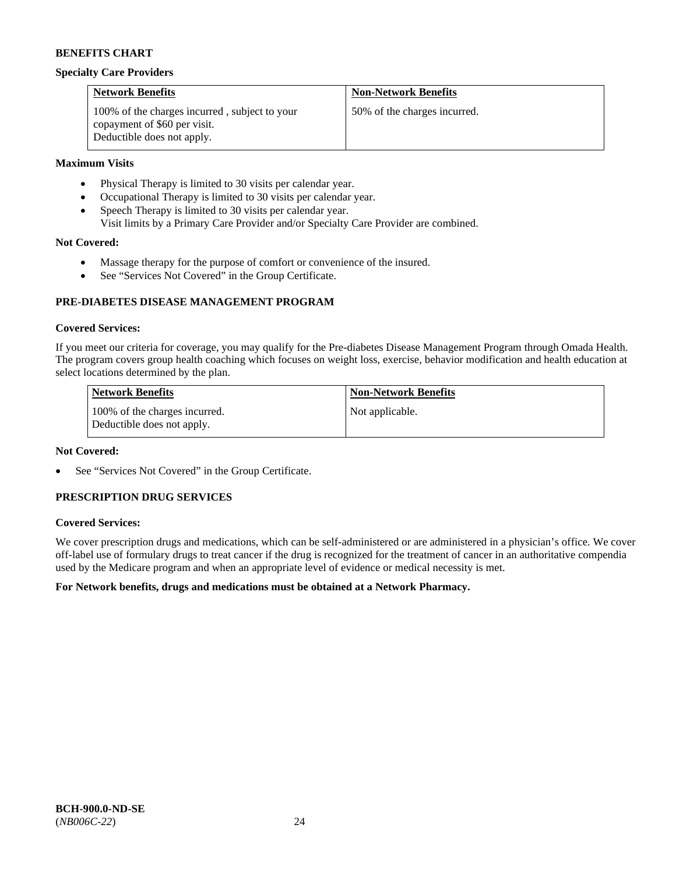#### **Specialty Care Providers**

| <b>Network Benefits</b>                                                                                     | <b>Non-Network Benefits</b>  |
|-------------------------------------------------------------------------------------------------------------|------------------------------|
| 100% of the charges incurred, subject to your<br>copayment of \$60 per visit.<br>Deductible does not apply. | 50% of the charges incurred. |

### **Maximum Visits**

- Physical Therapy is limited to 30 visits per calendar year.
- Occupational Therapy is limited to 30 visits per calendar year.
- Speech Therapy is limited to 30 visits per calendar year.
- Visit limits by a Primary Care Provider and/or Specialty Care Provider are combined.

### **Not Covered:**

- Massage therapy for the purpose of comfort or convenience of the insured.
- See "Services Not Covered" in the Group Certificate.

### **PRE-DIABETES DISEASE MANAGEMENT PROGRAM**

### **Covered Services:**

If you meet our criteria for coverage, you may qualify for the Pre-diabetes Disease Management Program through Omada Health. The program covers group health coaching which focuses on weight loss, exercise, behavior modification and health education at select locations determined by the plan.

| Network Benefits                                            | <b>Non-Network Benefits</b> |
|-------------------------------------------------------------|-----------------------------|
| 100% of the charges incurred.<br>Deductible does not apply. | Not applicable.             |

#### **Not Covered:**

See "Services Not Covered" in the Group Certificate.

# **PRESCRIPTION DRUG SERVICES**

### **Covered Services:**

We cover prescription drugs and medications, which can be self-administered or are administered in a physician's office. We cover off-label use of formulary drugs to treat cancer if the drug is recognized for the treatment of cancer in an authoritative compendia used by the Medicare program and when an appropriate level of evidence or medical necessity is met.

### **For Network benefits, drugs and medications must be obtained at a Network Pharmacy.**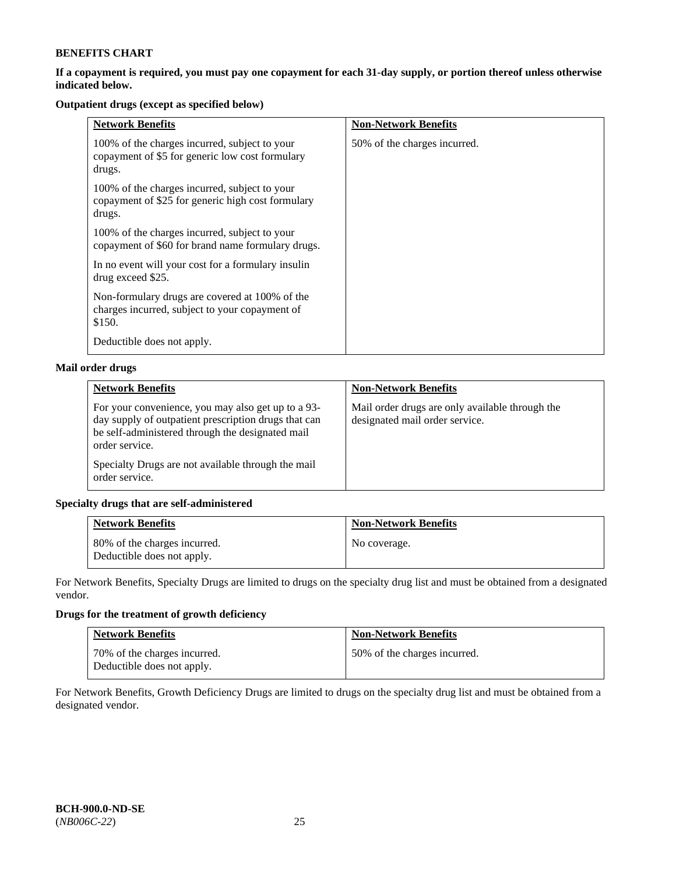### **If a copayment is required, you must pay one copayment for each 31-day supply, or portion thereof unless otherwise indicated below.**

# **Outpatient drugs (except as specified below)**

| <b>Network Benefits</b>                                                                                      | <b>Non-Network Benefits</b>  |
|--------------------------------------------------------------------------------------------------------------|------------------------------|
| 100% of the charges incurred, subject to your<br>copayment of \$5 for generic low cost formulary<br>drugs.   | 50% of the charges incurred. |
| 100% of the charges incurred, subject to your<br>copayment of \$25 for generic high cost formulary<br>drugs. |                              |
| 100% of the charges incurred, subject to your<br>copayment of \$60 for brand name formulary drugs.           |                              |
| In no event will your cost for a formulary insulin<br>drug exceed \$25.                                      |                              |
| Non-formulary drugs are covered at 100% of the<br>charges incurred, subject to your copayment of<br>\$150.   |                              |
| Deductible does not apply.                                                                                   |                              |

### **Mail order drugs**

| <b>Network Benefits</b>                                                                                                                                                          | <b>Non-Network Benefits</b>                                                       |
|----------------------------------------------------------------------------------------------------------------------------------------------------------------------------------|-----------------------------------------------------------------------------------|
| For your convenience, you may also get up to a 93-<br>day supply of outpatient prescription drugs that can<br>be self-administered through the designated mail<br>order service. | Mail order drugs are only available through the<br>designated mail order service. |
| Specialty Drugs are not available through the mail<br>order service.                                                                                                             |                                                                                   |

### **Specialty drugs that are self-administered**

| <b>Network Benefits</b>                                    | <b>Non-Network Benefits</b> |
|------------------------------------------------------------|-----------------------------|
| 80% of the charges incurred.<br>Deductible does not apply. | No coverage.                |

For Network Benefits, Specialty Drugs are limited to drugs on the specialty drug list and must be obtained from a designated vendor.

# **Drugs for the treatment of growth deficiency**

| <b>Network Benefits</b>                                    | <b>Non-Network Benefits</b>  |
|------------------------------------------------------------|------------------------------|
| 70% of the charges incurred.<br>Deductible does not apply. | 50% of the charges incurred. |

For Network Benefits, Growth Deficiency Drugs are limited to drugs on the specialty drug list and must be obtained from a designated vendor.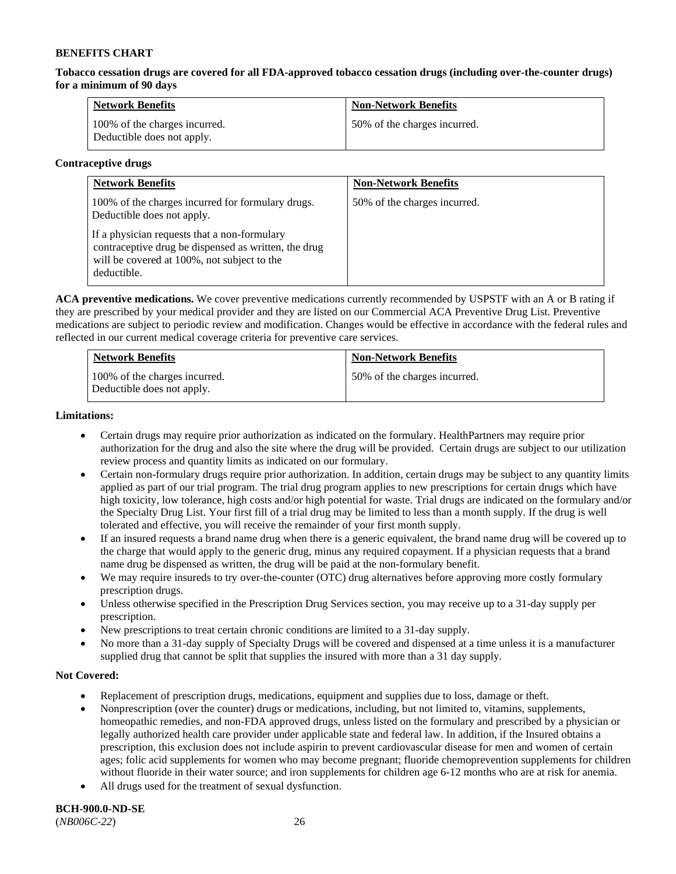**Tobacco cessation drugs are covered for all FDA-approved tobacco cessation drugs (including over-the-counter drugs) for a minimum of 90 days**

| <b>Network Benefits</b>                                     | <b>Non-Network Benefits</b>  |
|-------------------------------------------------------------|------------------------------|
| 100% of the charges incurred.<br>Deductible does not apply. | 50% of the charges incurred. |

### **Contraceptive drugs**

| <b>Network Benefits</b>                                                                                                                                            | <b>Non-Network Benefits</b>  |
|--------------------------------------------------------------------------------------------------------------------------------------------------------------------|------------------------------|
| 100% of the charges incurred for formulary drugs.<br>Deductible does not apply.                                                                                    | 50% of the charges incurred. |
| If a physician requests that a non-formulary<br>contraceptive drug be dispensed as written, the drug<br>will be covered at 100%, not subject to the<br>deductible. |                              |

**ACA preventive medications.** We cover preventive medications currently recommended by USPSTF with an A or B rating if they are prescribed by your medical provider and they are listed on our Commercial ACA Preventive Drug List. Preventive medications are subject to periodic review and modification. Changes would be effective in accordance with the federal rules and reflected in our current medical coverage criteria for preventive care services.

| <b>Network Benefits</b>                                     | <b>Non-Network Benefits</b>  |
|-------------------------------------------------------------|------------------------------|
| 100% of the charges incurred.<br>Deductible does not apply. | 50% of the charges incurred. |

### **Limitations:**

- Certain drugs may require prior authorization as indicated on the formulary. HealthPartners may require prior authorization for the drug and also the site where the drug will be provided. Certain drugs are subject to our utilization review process and quantity limits as indicated on our formulary.
- Certain non-formulary drugs require prior authorization. In addition, certain drugs may be subject to any quantity limits applied as part of our trial program. The trial drug program applies to new prescriptions for certain drugs which have high toxicity, low tolerance, high costs and/or high potential for waste. Trial drugs are indicated on the formulary and/or the Specialty Drug List. Your first fill of a trial drug may be limited to less than a month supply. If the drug is well tolerated and effective, you will receive the remainder of your first month supply.
- If an insured requests a brand name drug when there is a generic equivalent, the brand name drug will be covered up to the charge that would apply to the generic drug, minus any required copayment. If a physician requests that a brand name drug be dispensed as written, the drug will be paid at the non-formulary benefit.
- We may require insureds to try over-the-counter (OTC) drug alternatives before approving more costly formulary prescription drugs.
- Unless otherwise specified in the Prescription Drug Services section, you may receive up to a 31-day supply per prescription.
- New prescriptions to treat certain chronic conditions are limited to a 31-day supply.
- No more than a 31-day supply of Specialty Drugs will be covered and dispensed at a time unless it is a manufacturer supplied drug that cannot be split that supplies the insured with more than a 31 day supply.

### **Not Covered:**

- Replacement of prescription drugs, medications, equipment and supplies due to loss, damage or theft.
- Nonprescription (over the counter) drugs or medications, including, but not limited to, vitamins, supplements, homeopathic remedies, and non-FDA approved drugs, unless listed on the formulary and prescribed by a physician or legally authorized health care provider under applicable state and federal law. In addition, if the Insured obtains a prescription, this exclusion does not include aspirin to prevent cardiovascular disease for men and women of certain ages; folic acid supplements for women who may become pregnant; fluoride chemoprevention supplements for children without fluoride in their water source; and iron supplements for children age 6-12 months who are at risk for anemia.
- All drugs used for the treatment of sexual dysfunction.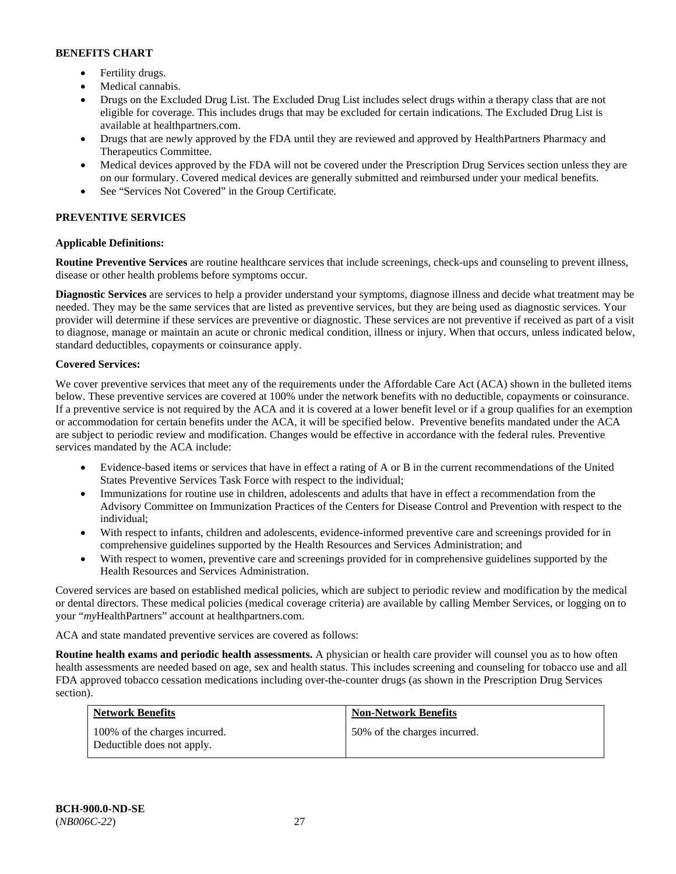- Fertility drugs.
- Medical cannabis.
- Drugs on the Excluded Drug List. The Excluded Drug List includes select drugs within a therapy class that are not eligible for coverage. This includes drugs that may be excluded for certain indications. The Excluded Drug List is available at [healthpartners.com.](http://www.healthpartners.com/)
- Drugs that are newly approved by the FDA until they are reviewed and approved by HealthPartners Pharmacy and Therapeutics Committee.
- Medical devices approved by the FDA will not be covered under the Prescription Drug Services section unless they are on our formulary. Covered medical devices are generally submitted and reimbursed under your medical benefits.
- See "Services Not Covered" in the Group Certificate.

# **PREVENTIVE SERVICES**

# **Applicable Definitions:**

**Routine Preventive Services** are routine healthcare services that include screenings, check-ups and counseling to prevent illness, disease or other health problems before symptoms occur.

**Diagnostic Services** are services to help a provider understand your symptoms, diagnose illness and decide what treatment may be needed. They may be the same services that are listed as preventive services, but they are being used as diagnostic services. Your provider will determine if these services are preventive or diagnostic. These services are not preventive if received as part of a visit to diagnose, manage or maintain an acute or chronic medical condition, illness or injury. When that occurs, unless indicated below, standard deductibles, copayments or coinsurance apply.

### **Covered Services:**

We cover preventive services that meet any of the requirements under the Affordable Care Act (ACA) shown in the bulleted items below. These preventive services are covered at 100% under the network benefits with no deductible, copayments or coinsurance. If a preventive service is not required by the ACA and it is covered at a lower benefit level or if a group qualifies for an exemption or accommodation for certain benefits under the ACA, it will be specified below. Preventive benefits mandated under the ACA are subject to periodic review and modification. Changes would be effective in accordance with the federal rules. Preventive services mandated by the ACA include:

- Evidence-based items or services that have in effect a rating of A or B in the current recommendations of the United States Preventive Services Task Force with respect to the individual;
- Immunizations for routine use in children, adolescents and adults that have in effect a recommendation from the Advisory Committee on Immunization Practices of the Centers for Disease Control and Prevention with respect to the individual;
- With respect to infants, children and adolescents, evidence-informed preventive care and screenings provided for in comprehensive guidelines supported by the Health Resources and Services Administration; and
- With respect to women, preventive care and screenings provided for in comprehensive guidelines supported by the Health Resources and Services Administration.

Covered services are based on established medical policies, which are subject to periodic review and modification by the medical or dental directors. These medical policies (medical coverage criteria) are available by calling Member Services, or logging on to your "*my*HealthPartners" account at [healthpartners.com.](http://www.healthpartners.com/) 

ACA and state mandated preventive services are covered as follows:

**Routine health exams and periodic health assessments.** A physician or health care provider will counsel you as to how often health assessments are needed based on age, sex and health status. This includes screening and counseling for tobacco use and all FDA approved tobacco cessation medications including over-the-counter drugs (as shown in the Prescription Drug Services section).

| <b>Network Benefits</b>                                     | <b>Non-Network Benefits</b>  |
|-------------------------------------------------------------|------------------------------|
| 100% of the charges incurred.<br>Deductible does not apply. | 50% of the charges incurred. |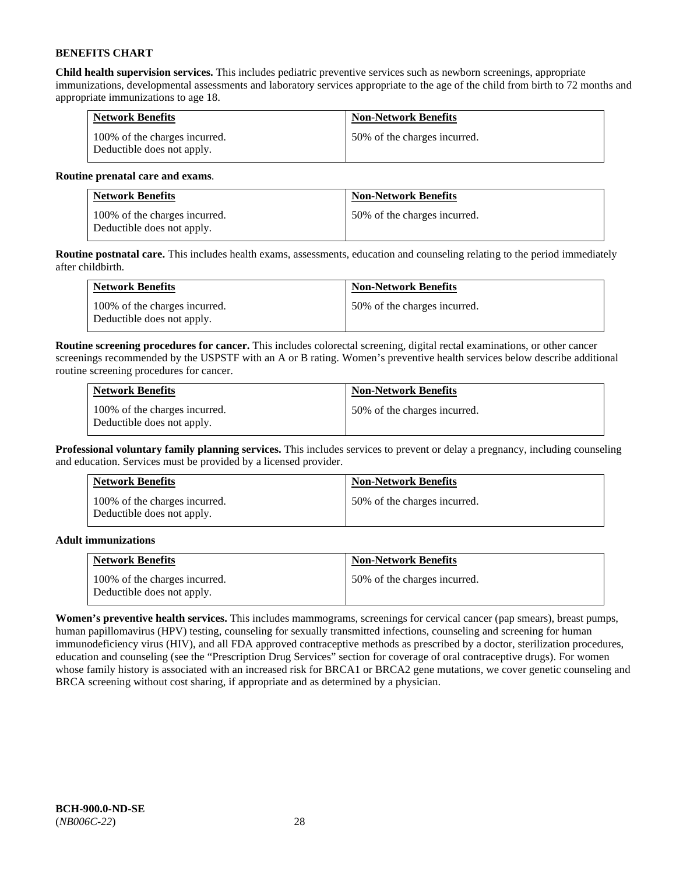**Child health supervision services.** This includes pediatric preventive services such as newborn screenings, appropriate immunizations, developmental assessments and laboratory services appropriate to the age of the child from birth to 72 months and appropriate immunizations to age 18.

| <b>Network Benefits</b>                                     | <b>Non-Network Benefits</b>  |
|-------------------------------------------------------------|------------------------------|
| 100% of the charges incurred.<br>Deductible does not apply. | 50% of the charges incurred. |

### **Routine prenatal care and exams**.

| <b>Network Benefits</b>                                     | <b>Non-Network Benefits</b>  |
|-------------------------------------------------------------|------------------------------|
| 100% of the charges incurred.<br>Deductible does not apply. | 50% of the charges incurred. |

**Routine postnatal care.** This includes health exams, assessments, education and counseling relating to the period immediately after childbirth.

| <b>Network Benefits</b>                                     | <b>Non-Network Benefits</b>  |
|-------------------------------------------------------------|------------------------------|
| 100% of the charges incurred.<br>Deductible does not apply. | 50% of the charges incurred. |

**Routine screening procedures for cancer.** This includes colorectal screening, digital rectal examinations, or other cancer screenings recommended by the USPSTF with an A or B rating. Women's preventive health services below describe additional routine screening procedures for cancer.

| <b>Network Benefits</b>                                     | <b>Non-Network Benefits</b>  |
|-------------------------------------------------------------|------------------------------|
| 100% of the charges incurred.<br>Deductible does not apply. | 50% of the charges incurred. |

**Professional voluntary family planning services.** This includes services to prevent or delay a pregnancy, including counseling and education. Services must be provided by a licensed provider.

| <b>Network Benefits</b>                                     | <b>Non-Network Benefits</b>  |
|-------------------------------------------------------------|------------------------------|
| 100% of the charges incurred.<br>Deductible does not apply. | 50% of the charges incurred. |

### **Adult immunizations**

| <b>Network Benefits</b>                                     | <b>Non-Network Benefits</b>  |
|-------------------------------------------------------------|------------------------------|
| 100% of the charges incurred.<br>Deductible does not apply. | 50% of the charges incurred. |

**Women's preventive health services.** This includes mammograms, screenings for cervical cancer (pap smears), breast pumps, human papillomavirus (HPV) testing, counseling for sexually transmitted infections, counseling and screening for human immunodeficiency virus (HIV), and all FDA approved contraceptive methods as prescribed by a doctor, sterilization procedures, education and counseling (see the "Prescription Drug Services" section for coverage of oral contraceptive drugs). For women whose family history is associated with an increased risk for BRCA1 or BRCA2 gene mutations, we cover genetic counseling and BRCA screening without cost sharing, if appropriate and as determined by a physician.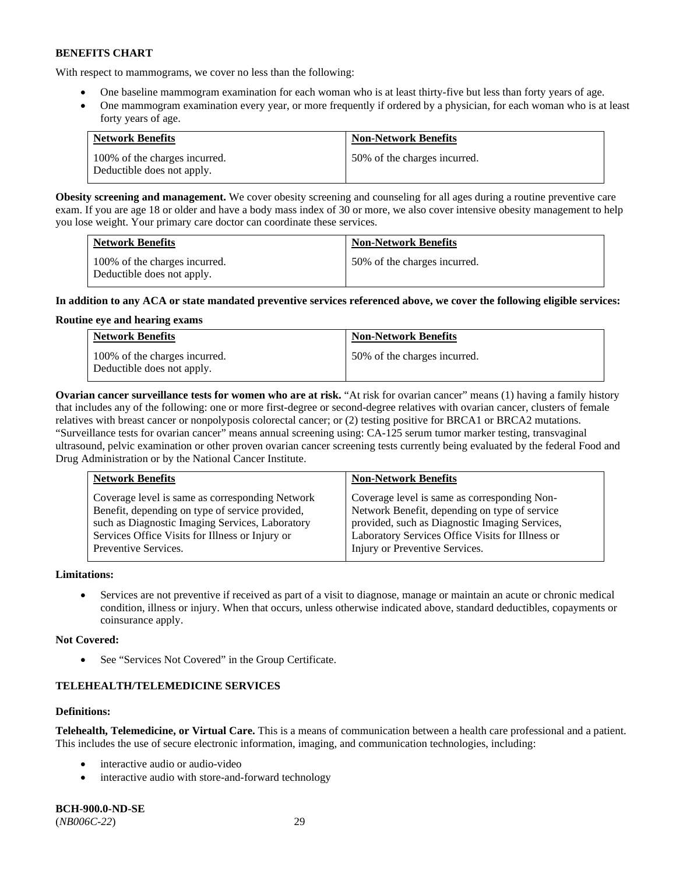With respect to mammograms, we cover no less than the following:

- One baseline mammogram examination for each woman who is at least thirty-five but less than forty years of age.
- One mammogram examination every year, or more frequently if ordered by a physician, for each woman who is at least forty years of age.

| <b>Network Benefits</b>                                     | <b>Non-Network Benefits</b>  |
|-------------------------------------------------------------|------------------------------|
| 100% of the charges incurred.<br>Deductible does not apply. | 50% of the charges incurred. |

**Obesity screening and management.** We cover obesity screening and counseling for all ages during a routine preventive care exam. If you are age 18 or older and have a body mass index of 30 or more, we also cover intensive obesity management to help you lose weight. Your primary care doctor can coordinate these services.

| <b>Network Benefits</b>                                     | <b>Non-Network Benefits</b>  |
|-------------------------------------------------------------|------------------------------|
| 100% of the charges incurred.<br>Deductible does not apply. | 50% of the charges incurred. |

### **In addition to any ACA or state mandated preventive services referenced above, we cover the following eligible services:**

### **Routine eye and hearing exams**

| <b>Network Benefits</b>                                     | <b>Non-Network Benefits</b>  |
|-------------------------------------------------------------|------------------------------|
| 100% of the charges incurred.<br>Deductible does not apply. | 50% of the charges incurred. |

**Ovarian cancer surveillance tests for women who are at risk.** "At risk for ovarian cancer" means (1) having a family history that includes any of the following: one or more first-degree or second-degree relatives with ovarian cancer, clusters of female relatives with breast cancer or nonpolyposis colorectal cancer; or (2) testing positive for BRCA1 or BRCA2 mutations. "Surveillance tests for ovarian cancer" means annual screening using: CA-125 serum tumor marker testing, transvaginal ultrasound, pelvic examination or other proven ovarian cancer screening tests currently being evaluated by the federal Food and Drug Administration or by the National Cancer Institute.

| <b>Network Benefits</b>                         | <b>Non-Network Benefits</b>                      |
|-------------------------------------------------|--------------------------------------------------|
| Coverage level is same as corresponding Network | Coverage level is same as corresponding Non-     |
| Benefit, depending on type of service provided, | Network Benefit, depending on type of service    |
| such as Diagnostic Imaging Services, Laboratory | provided, such as Diagnostic Imaging Services,   |
| Services Office Visits for Illness or Injury or | Laboratory Services Office Visits for Illness or |
| Preventive Services.                            | Injury or Preventive Services.                   |

### **Limitations:**

• Services are not preventive if received as part of a visit to diagnose, manage or maintain an acute or chronic medical condition, illness or injury. When that occurs, unless otherwise indicated above, standard deductibles, copayments or coinsurance apply.

### **Not Covered:**

See "Services Not Covered" in the Group Certificate.

# **TELEHEALTH/TELEMEDICINE SERVICES**

### **Definitions:**

**Telehealth, Telemedicine, or Virtual Care.** This is a means of communication between a health care professional and a patient. This includes the use of secure electronic information, imaging, and communication technologies, including:

- interactive audio or audio-video
- interactive audio with store-and-forward technology

**BCH-900.0-ND-SE** (*NB006C-22*) 29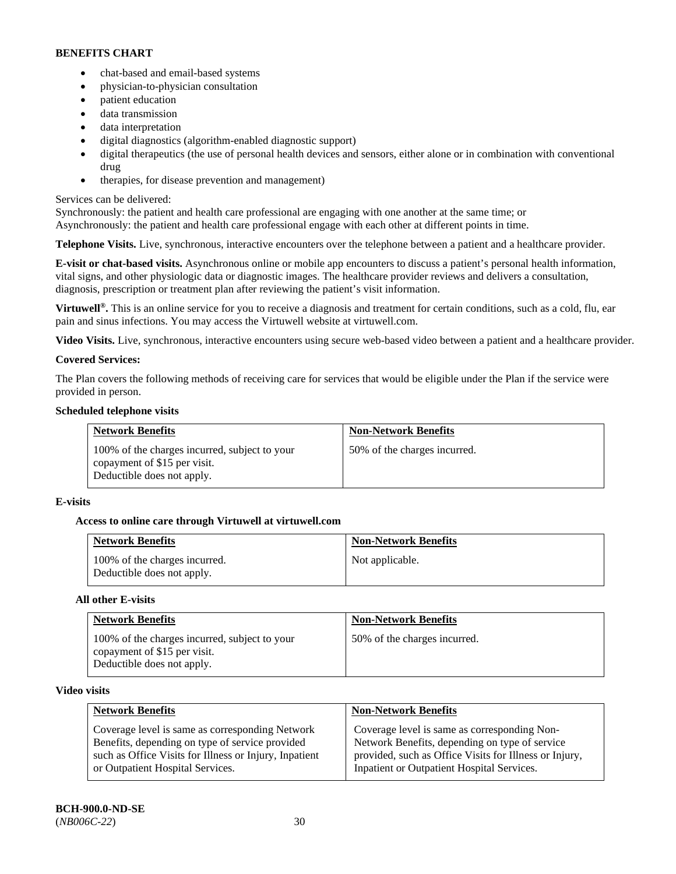- chat-based and email-based systems
- physician-to-physician consultation
- patient education
- data transmission
- data interpretation
- digital diagnostics (algorithm-enabled diagnostic support)
- digital therapeutics (the use of personal health devices and sensors, either alone or in combination with conventional drug
- therapies, for disease prevention and management)

# Services can be delivered:

Synchronously: the patient and health care professional are engaging with one another at the same time; or Asynchronously: the patient and health care professional engage with each other at different points in time.

**Telephone Visits.** Live, synchronous, interactive encounters over the telephone between a patient and a healthcare provider.

**E-visit or chat-based visits.** Asynchronous online or mobile app encounters to discuss a patient's personal health information, vital signs, and other physiologic data or diagnostic images. The healthcare provider reviews and delivers a consultation, diagnosis, prescription or treatment plan after reviewing the patient's visit information.

**Virtuwell<sup>®</sup>.** This is an online service for you to receive a diagnosis and treatment for certain conditions, such as a cold, flu, ear pain and sinus infections. You may access the Virtuwell website at [virtuwell.com.](https://www.virtuwell.com/)

**Video Visits.** Live, synchronous, interactive encounters using secure web-based video between a patient and a healthcare provider.

# **Covered Services:**

The Plan covers the following methods of receiving care for services that would be eligible under the Plan if the service were provided in person.

# **Scheduled telephone visits**

| <b>Network Benefits</b>                                                                                     | <b>Non-Network Benefits</b>  |
|-------------------------------------------------------------------------------------------------------------|------------------------------|
| 100% of the charges incurred, subject to your<br>copayment of \$15 per visit.<br>Deductible does not apply. | 50% of the charges incurred. |

# **E-visits**

# **Access to online care through Virtuwell at [virtuwell.com](https://www.virtuwell.com/)**

| <b>Network Benefits</b>                                     | <b>Non-Network Benefits</b> |
|-------------------------------------------------------------|-----------------------------|
| 100% of the charges incurred.<br>Deductible does not apply. | Not applicable.             |

### **All other E-visits**

| <b>Network Benefits</b>                                                                                     | <b>Non-Network Benefits</b>  |
|-------------------------------------------------------------------------------------------------------------|------------------------------|
| 100% of the charges incurred, subject to your<br>copayment of \$15 per visit.<br>Deductible does not apply. | 50% of the charges incurred. |

### **Video visits**

| <b>Network Benefits</b>                                | <b>Non-Network Benefits</b>                            |
|--------------------------------------------------------|--------------------------------------------------------|
| Coverage level is same as corresponding Network        | Coverage level is same as corresponding Non-           |
| Benefits, depending on type of service provided        | Network Benefits, depending on type of service         |
| such as Office Visits for Illness or Injury, Inpatient | provided, such as Office Visits for Illness or Injury, |
| or Outpatient Hospital Services.                       | Inpatient or Outpatient Hospital Services.             |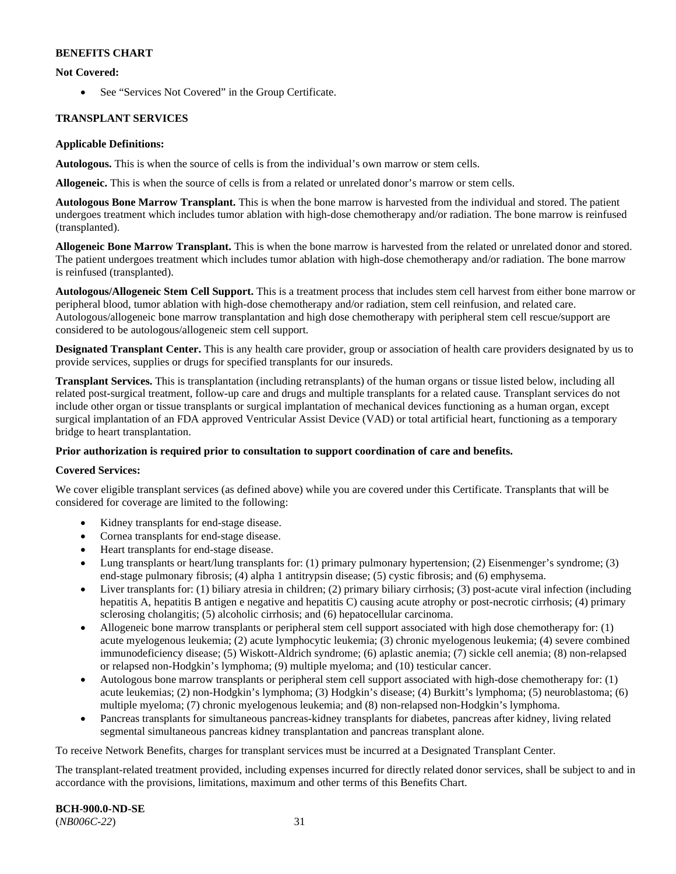### **Not Covered:**

• See "Services Not Covered" in the Group Certificate.

### **TRANSPLANT SERVICES**

#### **Applicable Definitions:**

**Autologous.** This is when the source of cells is from the individual's own marrow or stem cells.

**Allogeneic.** This is when the source of cells is from a related or unrelated donor's marrow or stem cells.

**Autologous Bone Marrow Transplant.** This is when the bone marrow is harvested from the individual and stored. The patient undergoes treatment which includes tumor ablation with high-dose chemotherapy and/or radiation. The bone marrow is reinfused (transplanted).

**Allogeneic Bone Marrow Transplant.** This is when the bone marrow is harvested from the related or unrelated donor and stored. The patient undergoes treatment which includes tumor ablation with high-dose chemotherapy and/or radiation. The bone marrow is reinfused (transplanted).

**Autologous/Allogeneic Stem Cell Support.** This is a treatment process that includes stem cell harvest from either bone marrow or peripheral blood, tumor ablation with high-dose chemotherapy and/or radiation, stem cell reinfusion, and related care. Autologous/allogeneic bone marrow transplantation and high dose chemotherapy with peripheral stem cell rescue/support are considered to be autologous/allogeneic stem cell support.

**Designated Transplant Center.** This is any health care provider, group or association of health care providers designated by us to provide services, supplies or drugs for specified transplants for our insureds.

**Transplant Services.** This is transplantation (including retransplants) of the human organs or tissue listed below, including all related post-surgical treatment, follow-up care and drugs and multiple transplants for a related cause. Transplant services do not include other organ or tissue transplants or surgical implantation of mechanical devices functioning as a human organ, except surgical implantation of an FDA approved Ventricular Assist Device (VAD) or total artificial heart, functioning as a temporary bridge to heart transplantation.

### **Prior authorization is required prior to consultation to support coordination of care and benefits.**

### **Covered Services:**

We cover eligible transplant services (as defined above) while you are covered under this Certificate. Transplants that will be considered for coverage are limited to the following:

- Kidney transplants for end-stage disease.
- Cornea transplants for end-stage disease.
- Heart transplants for end-stage disease.
- Lung transplants or heart/lung transplants for: (1) primary pulmonary hypertension; (2) Eisenmenger's syndrome; (3) end-stage pulmonary fibrosis; (4) alpha 1 antitrypsin disease; (5) cystic fibrosis; and (6) emphysema.
- Liver transplants for: (1) biliary atresia in children; (2) primary biliary cirrhosis; (3) post-acute viral infection (including hepatitis A, hepatitis B antigen e negative and hepatitis C) causing acute atrophy or post-necrotic cirrhosis; (4) primary sclerosing cholangitis; (5) alcoholic cirrhosis; and (6) hepatocellular carcinoma.
- Allogeneic bone marrow transplants or peripheral stem cell support associated with high dose chemotherapy for: (1) acute myelogenous leukemia; (2) acute lymphocytic leukemia; (3) chronic myelogenous leukemia; (4) severe combined immunodeficiency disease; (5) Wiskott-Aldrich syndrome; (6) aplastic anemia; (7) sickle cell anemia; (8) non-relapsed or relapsed non-Hodgkin's lymphoma; (9) multiple myeloma; and (10) testicular cancer.
- Autologous bone marrow transplants or peripheral stem cell support associated with high-dose chemotherapy for: (1) acute leukemias; (2) non-Hodgkin's lymphoma; (3) Hodgkin's disease; (4) Burkitt's lymphoma; (5) neuroblastoma; (6) multiple myeloma; (7) chronic myelogenous leukemia; and (8) non-relapsed non-Hodgkin's lymphoma.
- Pancreas transplants for simultaneous pancreas-kidney transplants for diabetes, pancreas after kidney, living related segmental simultaneous pancreas kidney transplantation and pancreas transplant alone.

To receive Network Benefits, charges for transplant services must be incurred at a Designated Transplant Center.

The transplant-related treatment provided, including expenses incurred for directly related donor services, shall be subject to and in accordance with the provisions, limitations, maximum and other terms of this Benefits Chart.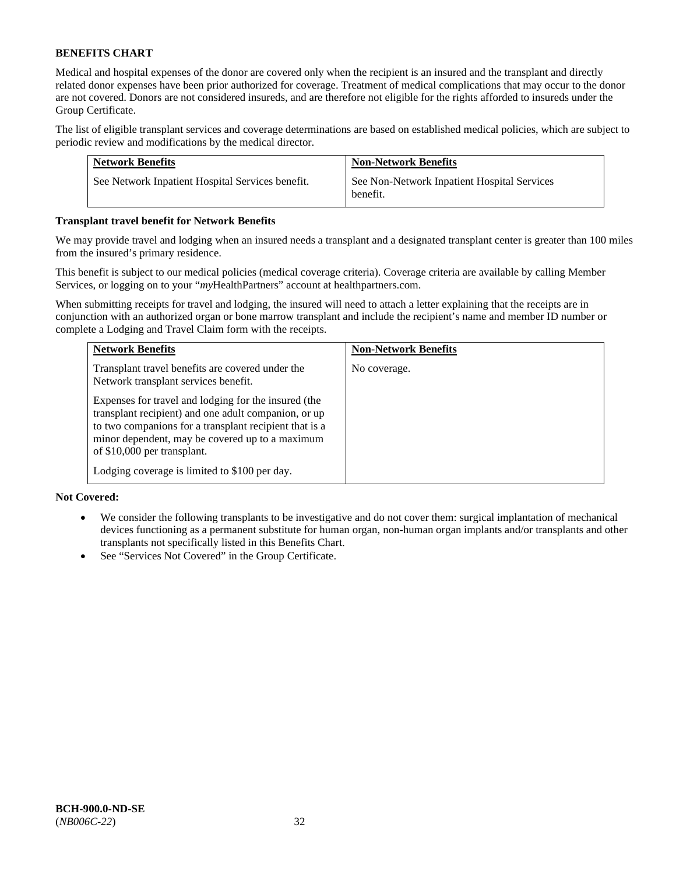Medical and hospital expenses of the donor are covered only when the recipient is an insured and the transplant and directly related donor expenses have been prior authorized for coverage. Treatment of medical complications that may occur to the donor are not covered. Donors are not considered insureds, and are therefore not eligible for the rights afforded to insureds under the Group Certificate.

The list of eligible transplant services and coverage determinations are based on established medical policies, which are subject to periodic review and modifications by the medical director.

| <b>Network Benefits</b>                          | <b>Non-Network Benefits</b>                             |
|--------------------------------------------------|---------------------------------------------------------|
| See Network Inpatient Hospital Services benefit. | See Non-Network Inpatient Hospital Services<br>benefit. |

### **Transplant travel benefit for Network Benefits**

We may provide travel and lodging when an insured needs a transplant and a designated transplant center is greater than 100 miles from the insured's primary residence.

This benefit is subject to our medical policies (medical coverage criteria). Coverage criteria are available by calling Member Services, or logging on to your "*my*HealthPartners" account a[t healthpartners.com.](http://healthpartners.com/)

When submitting receipts for travel and lodging, the insured will need to attach a letter explaining that the receipts are in conjunction with an authorized organ or bone marrow transplant and include the recipient's name and member ID number or complete a Lodging and Travel Claim form with the receipts.

| <b>Network Benefits</b>                                                                                                                                                                                                                                  | <b>Non-Network Benefits</b> |
|----------------------------------------------------------------------------------------------------------------------------------------------------------------------------------------------------------------------------------------------------------|-----------------------------|
| Transplant travel benefits are covered under the<br>Network transplant services benefit.                                                                                                                                                                 | No coverage.                |
| Expenses for travel and lodging for the insured (the<br>transplant recipient) and one adult companion, or up<br>to two companions for a transplant recipient that is a<br>minor dependent, may be covered up to a maximum<br>of \$10,000 per transplant. |                             |
| Lodging coverage is limited to \$100 per day.                                                                                                                                                                                                            |                             |

### **Not Covered:**

- We consider the following transplants to be investigative and do not cover them: surgical implantation of mechanical devices functioning as a permanent substitute for human organ, non-human organ implants and/or transplants and other transplants not specifically listed in this Benefits Chart.
- See "Services Not Covered" in the Group Certificate.